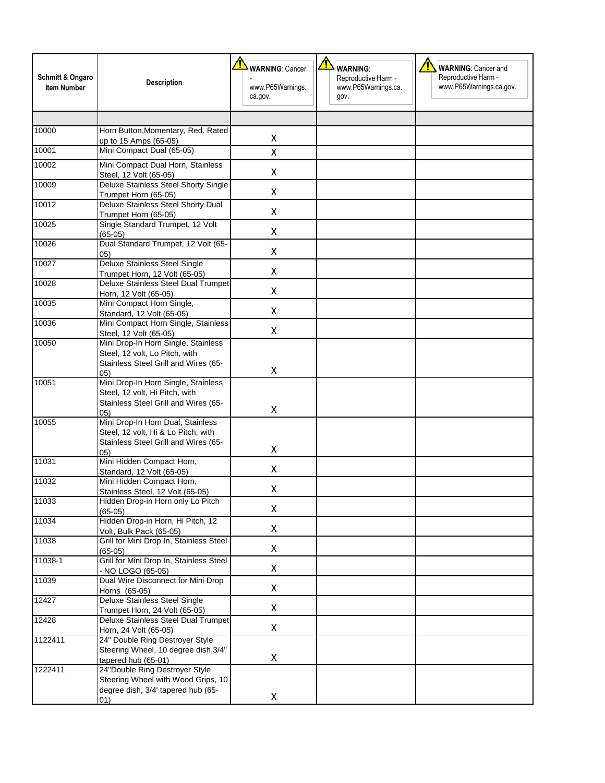| Schmitt & Ongaro<br><b>Item Number</b> | <b>Description</b>                                                                                                            | <u>т</u><br><b>WARNING: Cancer</b><br>www.P65Warnings.<br>ca.gov. | Т<br><b>WARNING:</b><br>Reproductive Harm -<br>www.P65Warnings.ca.<br>gov. | <b>WARNING: Cancer and</b><br>Reproductive Harm -<br>www.P65Warnings.ca.gov. |
|----------------------------------------|-------------------------------------------------------------------------------------------------------------------------------|-------------------------------------------------------------------|----------------------------------------------------------------------------|------------------------------------------------------------------------------|
| 10000                                  | Horn Button, Momentary, Red. Rated                                                                                            | X                                                                 |                                                                            |                                                                              |
| 10001                                  | up to 15 Amps (65-05)<br>Mini Compact Dual (65-05)                                                                            | Χ                                                                 |                                                                            |                                                                              |
| 10002                                  | Mini Compact Dual Horn, Stainless                                                                                             |                                                                   |                                                                            |                                                                              |
|                                        | Steel, 12 Volt (65-05)                                                                                                        | Χ                                                                 |                                                                            |                                                                              |
| 10009                                  | Deluxe Stainless Steel Shorty Single<br>Trumpet Horn (65-05)                                                                  | Χ                                                                 |                                                                            |                                                                              |
| 10012                                  | Deluxe Stainless Steel Shorty Dual<br>Trumpet Horn (65-05)                                                                    | Χ                                                                 |                                                                            |                                                                              |
| 10025                                  | Single Standard Trumpet, 12 Volt<br>$(65-05)$                                                                                 | Χ                                                                 |                                                                            |                                                                              |
| 10026                                  | Dual Standard Trumpet, 12 Volt (65-<br>(05)                                                                                   | Χ                                                                 |                                                                            |                                                                              |
| 10027                                  | <b>Deluxe Stainless Steel Single</b>                                                                                          | Χ                                                                 |                                                                            |                                                                              |
| 10028                                  | Trumpet Horn, 12 Volt (65-05)<br>Deluxe Stainless Steel Dual Trumpet                                                          |                                                                   |                                                                            |                                                                              |
|                                        | Horn, 12 Volt (65-05)                                                                                                         | Χ                                                                 |                                                                            |                                                                              |
| 10035                                  | Mini Compact Horn Single,<br>Standard, 12 Volt (65-05)                                                                        | Χ                                                                 |                                                                            |                                                                              |
| 10036                                  | Mini Compact Horn Single, Stainless<br>Steel, 12 Volt (65-05)                                                                 | Χ                                                                 |                                                                            |                                                                              |
| 10050                                  | Mini Drop-In Horn Single, Stainless<br>Steel, 12 volt, Lo Pitch, with<br>Stainless Steel Grill and Wires (65-                 | Χ                                                                 |                                                                            |                                                                              |
| 10051                                  | (05)<br>Mini Drop-In Horn Single, Stainless<br>Steel, 12 volt, Hi Pitch, with<br>Stainless Steel Grill and Wires (65-<br>(05) | Χ                                                                 |                                                                            |                                                                              |
| 10055                                  | Mini Drop-In Horn Dual, Stainless<br>Steel, 12 volt, Hi & Lo Pitch, with<br>Stainless Steel Grill and Wires (65-<br>(05)      | Χ                                                                 |                                                                            |                                                                              |
| 11031                                  | Mini Hidden Compact Horn,                                                                                                     | Χ                                                                 |                                                                            |                                                                              |
| 11032                                  | Standard, 12 Volt (65-05)<br>Mini Hidden Compact Horn,                                                                        |                                                                   |                                                                            |                                                                              |
|                                        | Stainless Steel, 12 Volt (65-05)                                                                                              | Χ                                                                 |                                                                            |                                                                              |
| 11033                                  | Hidden Drop-in Horn only Lo Pitch<br>$(65-05)$                                                                                | X                                                                 |                                                                            |                                                                              |
| 11034                                  | Hidden Drop-in Horn, Hi Pitch, 12                                                                                             | Χ                                                                 |                                                                            |                                                                              |
| 11038                                  | Volt, Bulk Pack (65-05)<br>Grill for Mini Drop In, Stainless Steel                                                            |                                                                   |                                                                            |                                                                              |
| 11038-1                                | $(65-05)$<br>Grill for Mini Drop In, Stainless Steel<br>- NO LOGO (65-05)                                                     | Χ<br>X                                                            |                                                                            |                                                                              |
| 11039                                  | Dual Wire Disconnect for Mini Drop<br>Horns (65-05)                                                                           | X                                                                 |                                                                            |                                                                              |
| 12427                                  | <b>Deluxe Stainless Steel Single</b>                                                                                          | Χ                                                                 |                                                                            |                                                                              |
| 12428                                  | Trumpet Horn, 24 Volt (65-05)<br>Deluxe Stainless Steel Dual Trumpet                                                          |                                                                   |                                                                            |                                                                              |
| 1122411                                | Horn, 24 Volt (65-05)<br>24" Double Ring Destroyer Style<br>Steering Wheel, 10 degree dish, 3/4"<br>tapered hub (65-01)       | X<br>Χ                                                            |                                                                            |                                                                              |
| 1222411                                | 24"Double Ring Destroyer Style<br>Steering Wheel with Wood Grips, 10<br>degree dish, 3/4' tapered hub (65-<br>01)             | Χ                                                                 |                                                                            |                                                                              |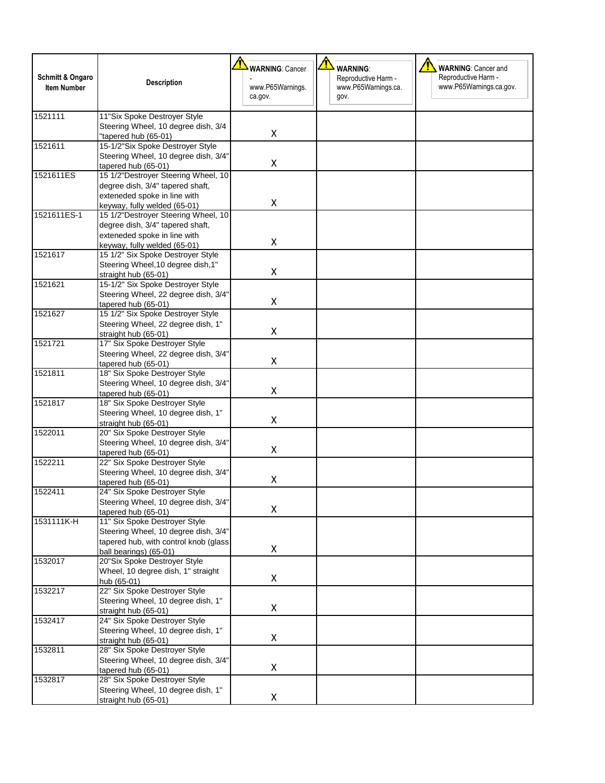| Schmitt & Ongaro<br><b>Item Number</b> | <b>Description</b>                                                | <b>WARNING: Cancer</b><br>www.P65Warnings. | <b>WARNING:</b><br>Reproductive Harm -<br>www.P65Warnings.ca. | <b>WARNING: Cancer and</b><br>Reproductive Harm -<br>www.P65Warnings.ca.gov. |
|----------------------------------------|-------------------------------------------------------------------|--------------------------------------------|---------------------------------------------------------------|------------------------------------------------------------------------------|
|                                        |                                                                   | ca.gov.                                    | gov.                                                          |                                                                              |
| 1521111                                | 11"Six Spoke Destroyer Style                                      |                                            |                                                               |                                                                              |
|                                        | Steering Wheel, 10 degree dish, 3/4                               |                                            |                                                               |                                                                              |
|                                        | "tapered hub (65-01)                                              | X                                          |                                                               |                                                                              |
| 1521611                                | 15-1/2"Six Spoke Destroyer Style                                  |                                            |                                                               |                                                                              |
|                                        | Steering Wheel, 10 degree dish, 3/4"                              | Χ                                          |                                                               |                                                                              |
|                                        | tapered hub (65-01)                                               |                                            |                                                               |                                                                              |
| 1521611ES                              | 15 1/2"Destroyer Steering Wheel, 10                               |                                            |                                                               |                                                                              |
|                                        | degree dish, 3/4" tapered shaft,                                  |                                            |                                                               |                                                                              |
|                                        | exteneded spoke in line with                                      | Χ                                          |                                                               |                                                                              |
|                                        | keyway, fully welded (65-01)                                      |                                            |                                                               |                                                                              |
| 1521611ES-1                            | 15 1/2"Destroyer Steering Wheel, 10                               |                                            |                                                               |                                                                              |
|                                        | degree dish, 3/4" tapered shaft,                                  |                                            |                                                               |                                                                              |
|                                        | exteneded spoke in line with                                      | Χ                                          |                                                               |                                                                              |
| 1521617                                | keyway, fully welded (65-01)<br>15 1/2" Six Spoke Destroyer Style |                                            |                                                               |                                                                              |
|                                        | Steering Wheel, 10 degree dish, 1"                                |                                            |                                                               |                                                                              |
|                                        | straight hub (65-01)                                              | Χ                                          |                                                               |                                                                              |
| 1521621                                | 15-1/2" Six Spoke Destroyer Style                                 |                                            |                                                               |                                                                              |
|                                        | Steering Wheel, 22 degree dish, 3/4"                              |                                            |                                                               |                                                                              |
|                                        | tapered hub (65-01)                                               | Χ                                          |                                                               |                                                                              |
| 1521627                                | 15 1/2" Six Spoke Destroyer Style                                 |                                            |                                                               |                                                                              |
|                                        | Steering Wheel, 22 degree dish, 1"                                |                                            |                                                               |                                                                              |
|                                        | straight hub (65-01)                                              | Χ                                          |                                                               |                                                                              |
| 1521721                                | 17" Six Spoke Destroyer Style                                     |                                            |                                                               |                                                                              |
|                                        | Steering Wheel, 22 degree dish, 3/4"                              |                                            |                                                               |                                                                              |
|                                        | tapered hub (65-01)                                               | Χ                                          |                                                               |                                                                              |
| 1521811                                | 18" Six Spoke Destroyer Style                                     |                                            |                                                               |                                                                              |
|                                        | Steering Wheel, 10 degree dish, 3/4"                              |                                            |                                                               |                                                                              |
|                                        | tapered hub (65-01)                                               | Χ                                          |                                                               |                                                                              |
| 1521817                                | 18" Six Spoke Destroyer Style                                     |                                            |                                                               |                                                                              |
|                                        | Steering Wheel, 10 degree dish, 1"                                |                                            |                                                               |                                                                              |
|                                        | straight hub (65-01)                                              | Χ                                          |                                                               |                                                                              |
| 1522011                                | 20" Six Spoke Destroyer Style                                     |                                            |                                                               |                                                                              |
|                                        | Steering Wheel, 10 degree dish, 3/4"                              |                                            |                                                               |                                                                              |
|                                        | tapered hub (65-01)                                               | Χ                                          |                                                               |                                                                              |
| 1522211                                | 22" Six Spoke Destroyer Style                                     |                                            |                                                               |                                                                              |
|                                        | Steering Wheel, 10 degree dish, 3/4"                              |                                            |                                                               |                                                                              |
|                                        | tapered hub (65-01)                                               | Χ                                          |                                                               |                                                                              |
| 1522411                                | 24" Six Spoke Destroyer Style                                     |                                            |                                                               |                                                                              |
|                                        | Steering Wheel, 10 degree dish, 3/4"                              | Χ                                          |                                                               |                                                                              |
|                                        | tapered hub (65-01)                                               |                                            |                                                               |                                                                              |
| 1531111K-H                             | 11" Six Spoke Destroyer Style                                     |                                            |                                                               |                                                                              |
|                                        | Steering Wheel, 10 degree dish, 3/4"                              |                                            |                                                               |                                                                              |
|                                        | tapered hub, with control knob (glass                             | X                                          |                                                               |                                                                              |
|                                        | ball bearings) (65-01)                                            |                                            |                                                               |                                                                              |
| 1532017                                | 20"Six Spoke Destroyer Style                                      |                                            |                                                               |                                                                              |
|                                        | Wheel, 10 degree dish, 1" straight                                | X                                          |                                                               |                                                                              |
| 1532217                                | hub (65-01)<br>22" Six Spoke Destroyer Style                      |                                            |                                                               |                                                                              |
|                                        | Steering Wheel, 10 degree dish, 1"                                |                                            |                                                               |                                                                              |
|                                        |                                                                   | X                                          |                                                               |                                                                              |
| 1532417                                | straight hub (65-01)<br>24" Six Spoke Destroyer Style             |                                            |                                                               |                                                                              |
|                                        | Steering Wheel, 10 degree dish, 1"                                |                                            |                                                               |                                                                              |
|                                        | straight hub (65-01)                                              | X                                          |                                                               |                                                                              |
| 1532811                                | 28" Six Spoke Destroyer Style                                     |                                            |                                                               |                                                                              |
|                                        | Steering Wheel, 10 degree dish, 3/4"                              |                                            |                                                               |                                                                              |
|                                        | tapered hub (65-01)                                               | X                                          |                                                               |                                                                              |
| 1532817                                | 28" Six Spoke Destroyer Style                                     |                                            |                                                               |                                                                              |
|                                        | Steering Wheel, 10 degree dish, 1"                                |                                            |                                                               |                                                                              |
|                                        |                                                                   |                                            |                                                               |                                                                              |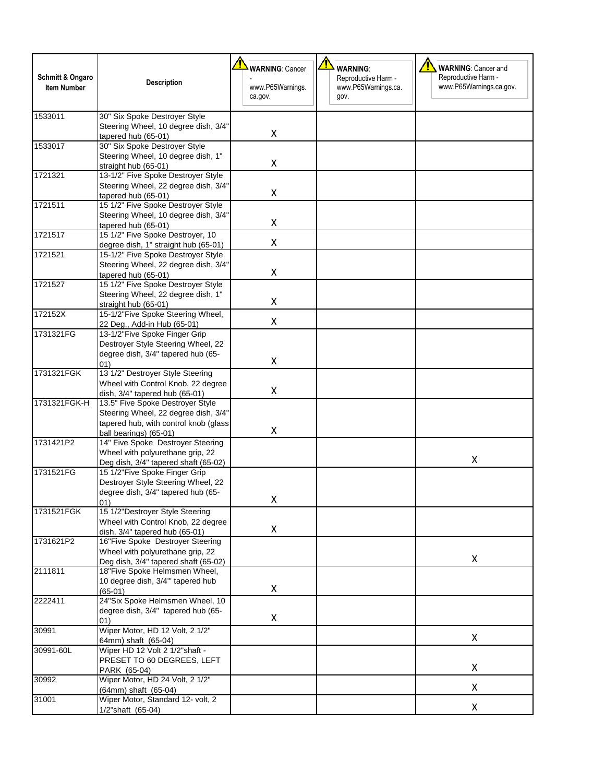| Schmitt & Ongaro<br><b>Item Number</b> | <b>Description</b>                                                                                                                                       | <b>WARNING: Cancer</b><br>www.P65Warnings.<br>ca.gov. | <b>WARNING:</b><br>Reproductive Harm -<br>www.P65Warnings.ca.<br>gov. | <b>WARNING: Cancer and</b><br>Reproductive Harm -<br>www.P65Warnings.ca.gov. |
|----------------------------------------|----------------------------------------------------------------------------------------------------------------------------------------------------------|-------------------------------------------------------|-----------------------------------------------------------------------|------------------------------------------------------------------------------|
| 1533011                                | 30" Six Spoke Destroyer Style<br>Steering Wheel, 10 degree dish, 3/4"<br>tapered hub (65-01)                                                             | X                                                     |                                                                       |                                                                              |
| 1533017                                | 30" Six Spoke Destroyer Style<br>Steering Wheel, 10 degree dish, 1"<br>straight hub (65-01)                                                              | X                                                     |                                                                       |                                                                              |
| 1721321                                | 13-1/2" Five Spoke Destroyer Style<br>Steering Wheel, 22 degree dish, 3/4"<br>tapered hub (65-01)                                                        | X                                                     |                                                                       |                                                                              |
| 1721511                                | 15 1/2" Five Spoke Destroyer Style<br>Steering Wheel, 10 degree dish, 3/4"<br>tapered hub (65-01)                                                        | X                                                     |                                                                       |                                                                              |
| 1721517                                | 15 1/2" Five Spoke Destroyer, 10<br>degree dish, 1" straight hub (65-01)                                                                                 | $\pmb{\mathsf{X}}$                                    |                                                                       |                                                                              |
| 1721521                                | 15-1/2" Five Spoke Destroyer Style<br>Steering Wheel, 22 degree dish, 3/4"<br>tapered hub (65-01)                                                        | X                                                     |                                                                       |                                                                              |
| 1721527                                | 15 1/2" Five Spoke Destroyer Style<br>Steering Wheel, 22 degree dish, 1"<br>straight hub (65-01)                                                         | $\pmb{\mathsf{X}}$                                    |                                                                       |                                                                              |
| 172152X                                | 15-1/2"Five Spoke Steering Wheel,<br>22 Deg., Add-in Hub (65-01)                                                                                         | X                                                     |                                                                       |                                                                              |
| 1731321FG                              | 13-1/2"Five Spoke Finger Grip<br>Destroyer Style Steering Wheel, 22<br>degree dish, 3/4" tapered hub (65-                                                |                                                       |                                                                       |                                                                              |
| 1731321FGK                             | 01)<br>13 1/2" Destroyer Style Steering<br>Wheel with Control Knob, 22 degree                                                                            | $\pmb{\mathsf{X}}$                                    |                                                                       |                                                                              |
| 1731321FGK-H                           | dish, $3/4$ " tapered hub (65-01)<br>13.5" Five Spoke Destroyer Style<br>Steering Wheel, 22 degree dish, 3/4"<br>tapered hub, with control knob (glass   | X                                                     |                                                                       |                                                                              |
| 1731421P2                              | ball bearings) (65-01)<br>14" Five Spoke Destroyer Steering<br>Wheel with polyurethane grip, 22                                                          | X                                                     |                                                                       | X                                                                            |
| 1731521FG                              | Deg dish, 3/4" tapered shaft (65-02)<br>15 1/2"Five Spoke Finger Grip<br>Destroyer Style Steering Wheel, 22<br>degree dish, 3/4" tapered hub (65-<br>01) | X                                                     |                                                                       |                                                                              |
| 1731521FGK                             | 15 1/2"Destroyer Style Steering<br>Wheel with Control Knob, 22 degree<br>dish, 3/4" tapered hub (65-01)                                                  | X                                                     |                                                                       |                                                                              |
| 1731621P2                              | 16"Five Spoke Destroyer Steering<br>Wheel with polyurethane grip, 22                                                                                     |                                                       |                                                                       | X                                                                            |
| 2111811                                | Deg dish, 3/4" tapered shaft (65-02)<br>18"Five Spoke Helmsmen Wheel,<br>10 degree dish, 3/4" tapered hub<br>$(65-01)$                                   | X                                                     |                                                                       |                                                                              |
| 2222411                                | 24"Six Spoke Helmsmen Wheel, 10<br>degree dish, 3/4" tapered hub (65-<br>01)                                                                             | X                                                     |                                                                       |                                                                              |
| 30991                                  | Wiper Motor, HD 12 Volt, 2 1/2"<br>64mm) shaft (65-04)                                                                                                   |                                                       |                                                                       | X                                                                            |
| 30991-60L                              | Wiper HD 12 Volt 2 1/2"shaft -<br>PRESET TO 60 DEGREES, LEFT<br>PARK (65-04)                                                                             |                                                       |                                                                       | X                                                                            |
| 30992                                  | Wiper Motor, HD 24 Volt, 2 1/2"<br>(64mm) shaft (65-04)                                                                                                  |                                                       |                                                                       | X                                                                            |
| 31001                                  | Wiper Motor, Standard 12- volt, 2<br>1/2"shaft (65-04)                                                                                                   |                                                       |                                                                       | X                                                                            |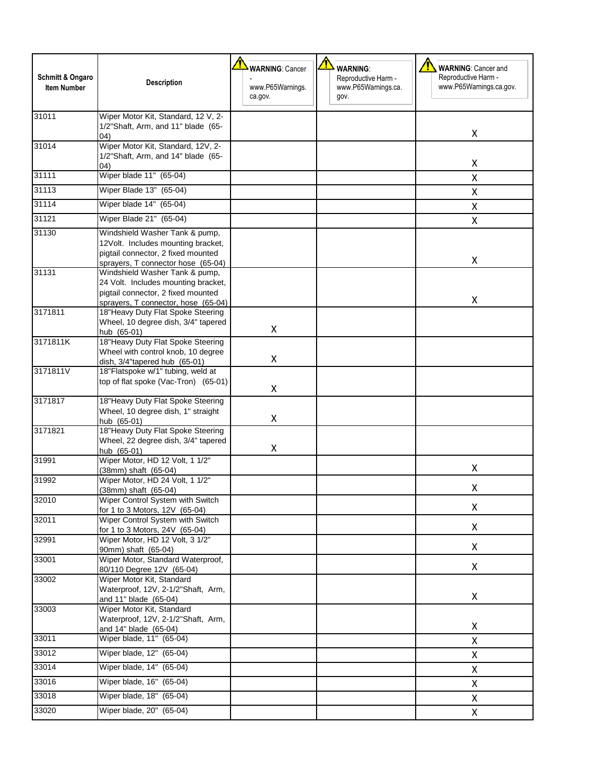| Schmitt & Ongaro<br><b>Item Number</b> | <b>Description</b>                                                                                                                                 | <b>WARNING: Cancer</b><br>www.P65Warnings.<br>ca.gov. | <b>WARNING:</b><br>Reproductive Harm -<br>www.P65Warnings.ca.<br>gov. | 71<br><b>WARNING: Cancer and</b><br>Reproductive Harm -<br>www.P65Warnings.ca.gov. |
|----------------------------------------|----------------------------------------------------------------------------------------------------------------------------------------------------|-------------------------------------------------------|-----------------------------------------------------------------------|------------------------------------------------------------------------------------|
| 31011                                  | Wiper Motor Kit, Standard, 12 V, 2-<br>1/2"Shaft, Arm, and 11" blade (65-<br>04)                                                                   |                                                       |                                                                       | X                                                                                  |
| 31014                                  | Wiper Motor Kit, Standard, 12V, 2-<br>1/2"Shaft, Arm, and 14" blade (65-                                                                           |                                                       |                                                                       | X                                                                                  |
| 31111                                  | (04)<br>Wiper blade 11" (65-04)                                                                                                                    |                                                       |                                                                       | X                                                                                  |
| 31113                                  | Wiper Blade 13" (65-04)                                                                                                                            |                                                       |                                                                       | X                                                                                  |
| 31114                                  | Wiper blade 14" (65-04)                                                                                                                            |                                                       |                                                                       | X                                                                                  |
| 31121                                  | Wiper Blade 21" (65-04)                                                                                                                            |                                                       |                                                                       | X                                                                                  |
| 31130                                  | Windshield Washer Tank & pump,<br>12Volt. Includes mounting bracket,<br>pigtail connector, 2 fixed mounted<br>sprayers, T connector hose (65-04)   |                                                       |                                                                       | X                                                                                  |
| 31131                                  | Windshield Washer Tank & pump,<br>24 Volt. Includes mounting bracket,<br>pigtail connector, 2 fixed mounted<br>sprayers, T connector, hose (65-04) |                                                       |                                                                       | X                                                                                  |
| 3171811                                | 18"Heavy Duty Flat Spoke Steering<br>Wheel, 10 degree dish, 3/4" tapered<br>hub (65-01)                                                            | Χ                                                     |                                                                       |                                                                                    |
| 3171811K                               | 18"Heavy Duty Flat Spoke Steering<br>Wheel with control knob, 10 degree                                                                            | X                                                     |                                                                       |                                                                                    |
| 3171811V                               | dish, 3/4"tapered hub (65-01)<br>18"Flatspoke w/1" tubing, weld at<br>top of flat spoke (Vac-Tron) (65-01)                                         | X                                                     |                                                                       |                                                                                    |
| 3171817                                | 18"Heavy Duty Flat Spoke Steering<br>Wheel, 10 degree dish, 1" straight<br>hub (65-01)                                                             | Χ                                                     |                                                                       |                                                                                    |
| 3171821                                | 18"Heavy Duty Flat Spoke Steering<br>Wheel, 22 degree dish, 3/4" tapered<br>hub (65-01)                                                            | Χ                                                     |                                                                       |                                                                                    |
| 31991                                  | Wiper Motor, HD 12 Volt, 1 1/2"<br>(38mm) shaft (65-04)                                                                                            |                                                       |                                                                       | X                                                                                  |
| 31992                                  | Wiper Motor, HD 24 Volt, 1 1/2"<br>(38mm) shaft (65-04)                                                                                            |                                                       |                                                                       | Χ                                                                                  |
| 32010                                  | Wiper Control System with Switch<br>for 1 to 3 Motors, 12V (65-04)                                                                                 |                                                       |                                                                       | X                                                                                  |
| 32011                                  | Wiper Control System with Switch<br>for 1 to 3 Motors, 24V (65-04)                                                                                 |                                                       |                                                                       | X                                                                                  |
| 32991                                  | Wiper Motor, HD 12 Volt, 3 1/2"<br>90mm) shaft (65-04)                                                                                             |                                                       |                                                                       | X                                                                                  |
| 33001                                  | Wiper Motor, Standard Waterproof,<br>80/110 Degree 12V (65-04)                                                                                     |                                                       |                                                                       | X                                                                                  |
| 33002                                  | Wiper Motor Kit, Standard<br>Waterproof, 12V, 2-1/2"Shaft, Arm,<br>and 11" blade (65-04)                                                           |                                                       |                                                                       | X                                                                                  |
| 33003                                  | Wiper Motor Kit, Standard<br>Waterproof, 12V, 2-1/2"Shaft, Arm,<br>and 14" blade (65-04)                                                           |                                                       |                                                                       | $\pmb{\mathsf{X}}$                                                                 |
| 33011                                  | Wiper blade, 11" (65-04)                                                                                                                           |                                                       |                                                                       | X                                                                                  |
| 33012                                  | Wiper blade, 12" (65-04)                                                                                                                           |                                                       |                                                                       | X                                                                                  |
| 33014                                  | Wiper blade, 14" (65-04)                                                                                                                           |                                                       |                                                                       | X                                                                                  |
| 33016                                  | Wiper blade, 16" (65-04)                                                                                                                           |                                                       |                                                                       | X                                                                                  |
| 33018                                  | Wiper blade, 18" (65-04)                                                                                                                           |                                                       |                                                                       | $\pmb{\mathsf{X}}$                                                                 |
|                                        |                                                                                                                                                    |                                                       |                                                                       |                                                                                    |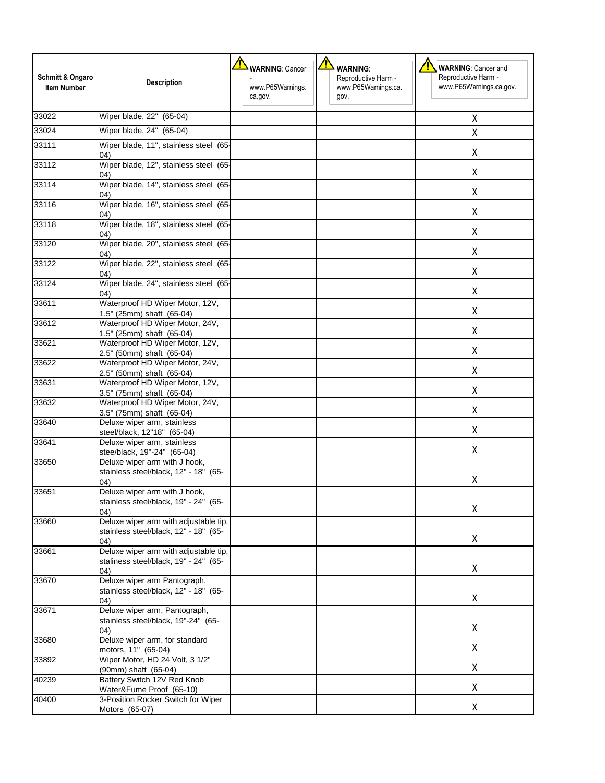| Schmitt & Ongaro<br><b>Item Number</b> | <b>Description</b>                                                                     | <b>WARNING: Cancer</b><br>www.P65Warnings.<br>ca.gov. | <b>WARNING:</b><br>Reproductive Harm -<br>www.P65Warnings.ca.<br>gov. | ⁄!\<br><b>WARNING: Cancer and</b><br>Reproductive Harm -<br>www.P65Warnings.ca.gov. |
|----------------------------------------|----------------------------------------------------------------------------------------|-------------------------------------------------------|-----------------------------------------------------------------------|-------------------------------------------------------------------------------------|
| 33022                                  | Wiper blade, 22" (65-04)                                                               |                                                       |                                                                       | X                                                                                   |
| 33024                                  | Wiper blade, 24" (65-04)                                                               |                                                       |                                                                       | x                                                                                   |
| 33111                                  | Wiper blade, 11", stainless steel (65-<br>04)                                          |                                                       |                                                                       | Χ                                                                                   |
| 33112                                  | Wiper blade, 12", stainless steel (65-<br>(04)                                         |                                                       |                                                                       | Χ                                                                                   |
| 33114                                  | Wiper blade, 14", stainless steel (65-<br>04)                                          |                                                       |                                                                       | X                                                                                   |
| 33116                                  | Wiper blade, 16", stainless steel (65-<br>04)                                          |                                                       |                                                                       | X                                                                                   |
| 33118                                  | Wiper blade, 18", stainless steel (65-<br>(04)                                         |                                                       |                                                                       | Χ                                                                                   |
| 33120                                  | Wiper blade, 20", stainless steel (65-<br>04)                                          |                                                       |                                                                       | Χ                                                                                   |
| 33122                                  | Wiper blade, 22", stainless steel (65-<br>04)                                          |                                                       |                                                                       | Χ                                                                                   |
| 33124                                  | Wiper blade, 24", stainless steel (65-<br>(04)                                         |                                                       |                                                                       | X                                                                                   |
| 33611                                  | Waterproof HD Wiper Motor, 12V,<br>1.5" (25mm) shaft (65-04)                           |                                                       |                                                                       | X                                                                                   |
| 33612                                  | Waterproof HD Wiper Motor, 24V,<br>1.5" (25mm) shaft (65-04)                           |                                                       |                                                                       | X                                                                                   |
| 33621                                  | Waterproof HD Wiper Motor, 12V,<br>2.5" (50mm) shaft (65-04)                           |                                                       |                                                                       | X                                                                                   |
| 33622                                  | Waterproof HD Wiper Motor, 24V,<br>2.5" (50mm) shaft (65-04)                           |                                                       |                                                                       | X                                                                                   |
| 33631                                  | Waterproof HD Wiper Motor, 12V,<br>3.5" (75mm) shaft (65-04)                           |                                                       |                                                                       | X                                                                                   |
| 33632                                  | Waterproof HD Wiper Motor, 24V,<br>3.5" (75mm) shaft (65-04)                           |                                                       |                                                                       | Χ                                                                                   |
| 33640                                  | Deluxe wiper arm, stainless<br>steel/black, 12"18" (65-04)                             |                                                       |                                                                       | X                                                                                   |
| 33641                                  | Deluxe wiper arm, stainless<br>stee/black, 19"-24" (65-04)                             |                                                       |                                                                       | X                                                                                   |
| 33650                                  | Deluxe wiper arm with J hook,<br>stainless steel/black, 12" - 18" (65-<br>04)          |                                                       |                                                                       | Χ                                                                                   |
| 33651                                  | Deluxe wiper arm with J hook,<br>stainless steel/black, 19" - 24" (65-<br>04)          |                                                       |                                                                       | X                                                                                   |
| 33660                                  | Deluxe wiper arm with adjustable tip,<br>stainless steel/black, 12" - 18" (65-<br>04)  |                                                       |                                                                       | X                                                                                   |
| 33661                                  | Deluxe wiper arm with adjustable tip,<br>staliness steel/black, 19" - 24" (65-<br>(04) |                                                       |                                                                       | Χ                                                                                   |
| 33670                                  | Deluxe wiper arm Pantograph,<br>stainless steel/black, 12" - 18" (65-<br>04)           |                                                       |                                                                       | Χ                                                                                   |
| 33671                                  | Deluxe wiper arm, Pantograph,<br>stainless steel/black, 19"-24" (65-<br>04)            |                                                       |                                                                       | Χ                                                                                   |
| 33680                                  | Deluxe wiper arm, for standard<br>motors, 11" (65-04)                                  |                                                       |                                                                       | Χ                                                                                   |
| 33892                                  | Wiper Motor, HD 24 Volt, 3 1/2"<br>(90mm) shaft (65-04)                                |                                                       |                                                                       | Χ                                                                                   |
| 40239                                  | Battery Switch 12V Red Knob<br>Water&Fume Proof (65-10)                                |                                                       |                                                                       | Χ                                                                                   |
| 40400                                  | 3-Position Rocker Switch for Wiper<br>Motors (65-07)                                   |                                                       |                                                                       | Χ                                                                                   |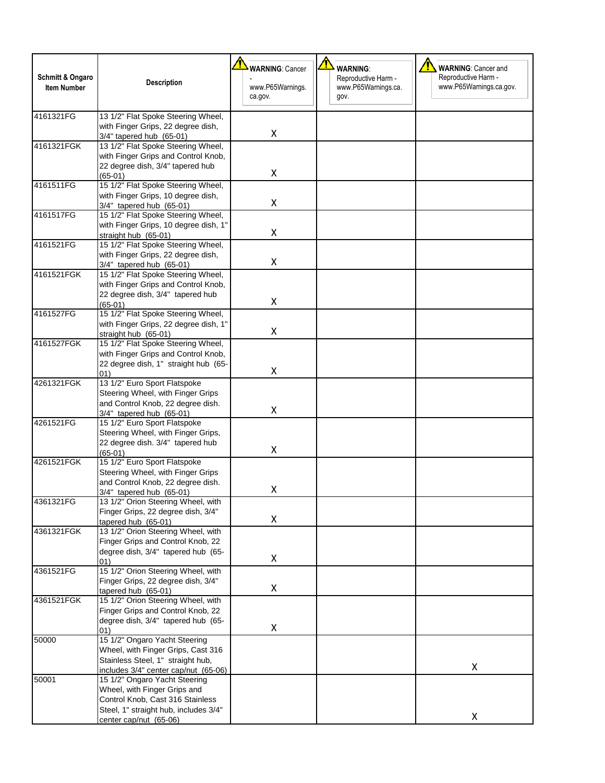|                    |                                                                           | <b>WARNING: Cancer</b>      | <b>WARNING:</b>             | <b>WARNING: Cancer and</b> |
|--------------------|---------------------------------------------------------------------------|-----------------------------|-----------------------------|----------------------------|
| Schmitt & Ongaro   | <b>Description</b>                                                        |                             | Reproductive Harm -         | Reproductive Harm -        |
| <b>Item Number</b> |                                                                           | www.P65Warnings.<br>ca.gov. | www.P65Warnings.ca.<br>gov. | www.P65Warnings.ca.gov.    |
|                    |                                                                           |                             |                             |                            |
| 4161321FG          | 13 1/2" Flat Spoke Steering Wheel,                                        |                             |                             |                            |
|                    | with Finger Grips, 22 degree dish,                                        |                             |                             |                            |
|                    | 3/4" tapered hub (65-01)                                                  | $\pmb{\times}$              |                             |                            |
| 4161321FGK         | 13 1/2" Flat Spoke Steering Wheel,                                        |                             |                             |                            |
|                    | with Finger Grips and Control Knob,                                       |                             |                             |                            |
|                    | 22 degree dish, 3/4" tapered hub                                          | X                           |                             |                            |
| 4161511FG          | $(65-01)$<br>15 1/2" Flat Spoke Steering Wheel,                           |                             |                             |                            |
|                    | with Finger Grips, 10 degree dish,                                        |                             |                             |                            |
|                    | 3/4" tapered hub (65-01)                                                  | X                           |                             |                            |
| 4161517FG          | 15 1/2" Flat Spoke Steering Wheel,                                        |                             |                             |                            |
|                    | with Finger Grips, 10 degree dish, 1"                                     |                             |                             |                            |
|                    | straight hub (65-01)                                                      | Χ                           |                             |                            |
| 4161521FG          | 15 1/2" Flat Spoke Steering Wheel,                                        |                             |                             |                            |
|                    | with Finger Grips, 22 degree dish,                                        |                             |                             |                            |
|                    | 3/4" tapered hub (65-01)                                                  | Χ                           |                             |                            |
| 4161521FGK         | 15 1/2" Flat Spoke Steering Wheel,                                        |                             |                             |                            |
|                    | with Finger Grips and Control Knob,                                       |                             |                             |                            |
|                    | 22 degree dish, 3/4" tapered hub<br>$(65-01)$                             | Χ                           |                             |                            |
| 4161527FG          | 15 1/2" Flat Spoke Steering Wheel,                                        |                             |                             |                            |
|                    | with Finger Grips, 22 degree dish, 1"                                     |                             |                             |                            |
|                    | straight hub (65-01)                                                      | Χ                           |                             |                            |
| 4161527FGK         | 15 1/2" Flat Spoke Steering Wheel,                                        |                             |                             |                            |
|                    | with Finger Grips and Control Knob,                                       |                             |                             |                            |
|                    | 22 degree dish, 1" straight hub (65-                                      |                             |                             |                            |
|                    | (01)                                                                      | X                           |                             |                            |
| 4261321FGK         | 13 1/2" Euro Sport Flatspoke                                              |                             |                             |                            |
|                    | Steering Wheel, with Finger Grips                                         |                             |                             |                            |
|                    | and Control Knob, 22 degree dish.                                         | Χ                           |                             |                            |
|                    | 3/4" tapered hub (65-01)                                                  |                             |                             |                            |
| 4261521FG          | 15 1/2" Euro Sport Flatspoke                                              |                             |                             |                            |
|                    | Steering Wheel, with Finger Grips,<br>22 degree dish. 3/4" tapered hub    |                             |                             |                            |
|                    | $(65-01)$                                                                 | Χ                           |                             |                            |
| 4261521FGK         | 15 1/2" Euro Sport Flatspoke                                              |                             |                             |                            |
|                    | Steering Wheel, with Finger Grips                                         |                             |                             |                            |
|                    | and Control Knob, 22 degree dish.                                         |                             |                             |                            |
|                    | 3/4" tapered hub (65-01)                                                  | Χ                           |                             |                            |
| 4361321FG          | 13 1/2" Orion Steering Wheel, with                                        |                             |                             |                            |
|                    | Finger Grips, 22 degree dish, 3/4"                                        |                             |                             |                            |
|                    | tapered hub (65-01)                                                       | X                           |                             |                            |
| 4361321FGK         | 13 1/2" Orion Steering Wheel, with                                        |                             |                             |                            |
|                    | Finger Grips and Control Knob, 22                                         |                             |                             |                            |
|                    | degree dish, 3/4" tapered hub (65-                                        | Χ                           |                             |                            |
| 4361521FG          | 01)<br>15 1/2" Orion Steering Wheel, with                                 |                             |                             |                            |
|                    | Finger Grips, 22 degree dish, 3/4"                                        |                             |                             |                            |
|                    | tapered hub (65-01)                                                       | Χ                           |                             |                            |
| 4361521FGK         | 15 1/2" Orion Steering Wheel, with                                        |                             |                             |                            |
|                    | Finger Grips and Control Knob, 22                                         |                             |                             |                            |
|                    | degree dish, 3/4" tapered hub (65-                                        |                             |                             |                            |
|                    | 01)                                                                       | X                           |                             |                            |
| 50000              | 15 1/2" Ongaro Yacht Steering                                             |                             |                             |                            |
|                    | Wheel, with Finger Grips, Cast 316                                        |                             |                             |                            |
|                    | Stainless Steel, 1" straight hub,                                         |                             |                             |                            |
|                    | includes 3/4" center cap/nut (65-06)                                      |                             |                             | X                          |
|                    |                                                                           |                             |                             |                            |
|                    | 15 1/2" Ongaro Yacht Steering                                             |                             |                             |                            |
|                    | Wheel, with Finger Grips and                                              |                             |                             |                            |
| 50001              | Control Knob, Cast 316 Stainless<br>Steel, 1" straight hub, includes 3/4" |                             |                             |                            |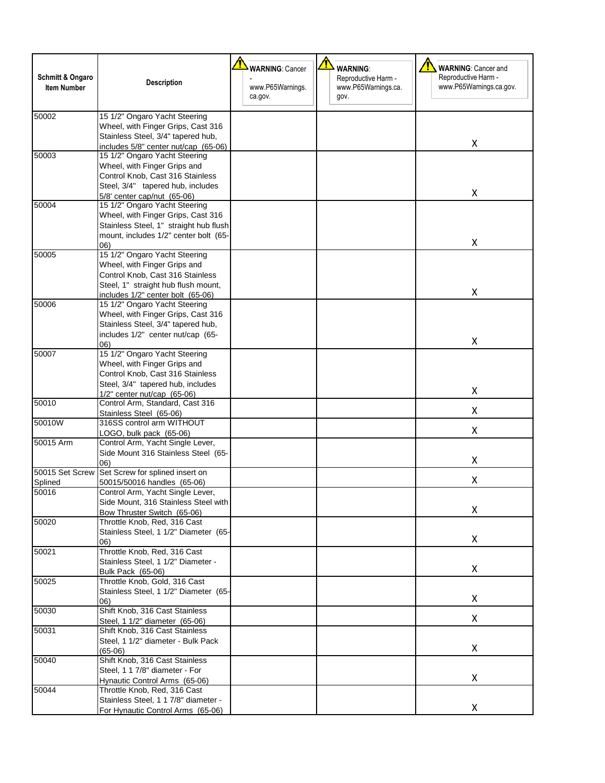| <b>Schmitt &amp; Ongaro</b><br><b>Item Number</b> | <b>Description</b>                                                                                                                                                            | <b>WARNING: Cancer</b><br>www.P65Warnings.<br>ca.gov. | <b>WARNING:</b><br>Reproductive Harm -<br>www.P65Warnings.ca.<br>gov. | <b>WARNING: Cancer and</b><br>Reproductive Harm -<br>www.P65Warnings.ca.gov. |
|---------------------------------------------------|-------------------------------------------------------------------------------------------------------------------------------------------------------------------------------|-------------------------------------------------------|-----------------------------------------------------------------------|------------------------------------------------------------------------------|
| 50002                                             | 15 1/2" Ongaro Yacht Steering<br>Wheel, with Finger Grips, Cast 316<br>Stainless Steel, 3/4" tapered hub,<br>includes 5/8" center nut/cap (65-06)                             |                                                       |                                                                       | Χ                                                                            |
| 50003                                             | 15 1/2" Ongaro Yacht Steering<br>Wheel, with Finger Grips and<br>Control Knob, Cast 316 Stainless<br>Steel, 3/4" tapered hub, includes<br>5/8' center cap/nut (65-06)         |                                                       |                                                                       | x                                                                            |
| 50004                                             | 15 1/2" Ongaro Yacht Steering<br>Wheel, with Finger Grips, Cast 316<br>Stainless Steel, 1" straight hub flush<br>mount, includes 1/2" center bolt (65-<br>06)                 |                                                       |                                                                       | Χ                                                                            |
| 50005                                             | 15 1/2" Ongaro Yacht Steering<br>Wheel, with Finger Grips and<br>Control Knob, Cast 316 Stainless<br>Steel, 1" straight hub flush mount,<br>includes 1/2" center bolt (65-06) |                                                       |                                                                       | Χ                                                                            |
| 50006                                             | 15 1/2" Ongaro Yacht Steering<br>Wheel, with Finger Grips, Cast 316<br>Stainless Steel, 3/4" tapered hub,<br>includes 1/2" center nut/cap (65-<br>(06)                        |                                                       |                                                                       | Χ                                                                            |
| 50007                                             | 15 1/2" Ongaro Yacht Steering<br>Wheel, with Finger Grips and<br>Control Knob, Cast 316 Stainless<br>Steel, 3/4" tapered hub, includes<br>$1/2$ " center nut/cap $(65-06)$    |                                                       |                                                                       | Χ                                                                            |
| 50010                                             | Control Arm, Standard, Cast 316<br>Stainless Steel (65-06)                                                                                                                    |                                                       |                                                                       | Χ                                                                            |
| 50010W                                            | 316SS control arm WITHOUT<br>LOGO, bulk pack (65-06)                                                                                                                          |                                                       |                                                                       | x                                                                            |
| 50015 Arm                                         | Control Arm, Yacht Single Lever,<br>Side Mount 316 Stainless Steel (65-<br>06)                                                                                                |                                                       |                                                                       | X                                                                            |
| 50015 Set Screw<br>Splined                        | Set Screw for splined insert on<br>50015/50016 handles (65-06)                                                                                                                |                                                       |                                                                       | Χ                                                                            |
| 50016                                             | Control Arm, Yacht Single Lever,<br>Side Mount, 316 Stainless Steel with<br>Bow Thruster Switch (65-06)                                                                       |                                                       |                                                                       | X                                                                            |
| 50020                                             | Throttle Knob, Red, 316 Cast<br>Stainless Steel, 1 1/2" Diameter (65-<br>06)                                                                                                  |                                                       |                                                                       | X                                                                            |
| 50021                                             | Throttle Knob, Red, 316 Cast<br>Stainless Steel, 1 1/2" Diameter -<br>Bulk Pack (65-06)                                                                                       |                                                       |                                                                       | X                                                                            |
| 50025                                             | Throttle Knob, Gold, 316 Cast<br>Stainless Steel, 1 1/2" Diameter (65-<br>06)                                                                                                 |                                                       |                                                                       | X                                                                            |
| 50030                                             | Shift Knob, 316 Cast Stainless<br>Steel, 1 1/2" diameter (65-06)                                                                                                              |                                                       |                                                                       | X                                                                            |
| 50031                                             | Shift Knob, 316 Cast Stainless<br>Steel, 1 1/2" diameter - Bulk Pack<br>$(65-06)$                                                                                             |                                                       |                                                                       | X                                                                            |
| 50040                                             | Shift Knob, 316 Cast Stainless<br>Steel, 1 1 7/8" diameter - For<br>Hynautic Control Arms (65-06)                                                                             |                                                       |                                                                       | X                                                                            |
| 50044                                             | Throttle Knob, Red, 316 Cast<br>Stainless Steel, 1 1 7/8" diameter -<br>For Hynautic Control Arms (65-06)                                                                     |                                                       |                                                                       | x                                                                            |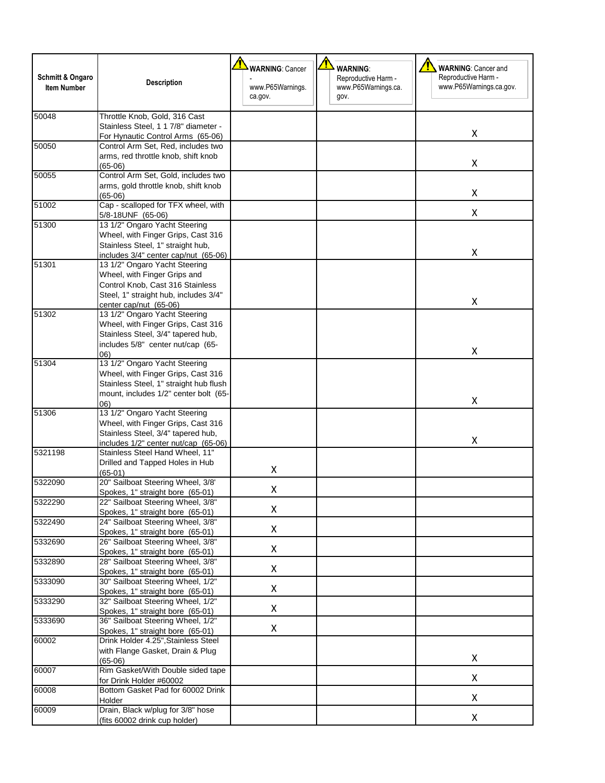|                                        |                                                                            | <b>WARNING: Cancer</b>      | <b>WARNING:</b>                                    | <b>WARNING: Cancer and</b><br>т                |
|----------------------------------------|----------------------------------------------------------------------------|-----------------------------|----------------------------------------------------|------------------------------------------------|
| Schmitt & Ongaro<br><b>Item Number</b> | <b>Description</b>                                                         | www.P65Warnings.<br>ca.gov. | Reproductive Harm -<br>www.P65Warnings.ca.<br>gov. | Reproductive Harm -<br>www.P65Warnings.ca.gov. |
| 50048                                  | Throttle Knob, Gold, 316 Cast                                              |                             |                                                    |                                                |
|                                        | Stainless Steel, 1 1 7/8" diameter -                                       |                             |                                                    | X                                              |
| 50050                                  | For Hynautic Control Arms (65-06)<br>Control Arm Set, Red, includes two    |                             |                                                    |                                                |
|                                        | arms, red throttle knob, shift knob                                        |                             |                                                    |                                                |
|                                        | $(65-06)$                                                                  |                             |                                                    | X                                              |
| 50055                                  | Control Arm Set, Gold, includes two                                        |                             |                                                    |                                                |
|                                        | arms, gold throttle knob, shift knob                                       |                             |                                                    | X                                              |
| 51002                                  | (65-06)<br>Cap - scalloped for TFX wheel, with                             |                             |                                                    |                                                |
|                                        | 5/8-18UNF (65-06)                                                          |                             |                                                    | X                                              |
| 51300                                  | 13 1/2" Ongaro Yacht Steering                                              |                             |                                                    |                                                |
|                                        | Wheel, with Finger Grips, Cast 316                                         |                             |                                                    |                                                |
|                                        | Stainless Steel, 1" straight hub,                                          |                             |                                                    |                                                |
|                                        | includes 3/4" center cap/nut (65-06)                                       |                             |                                                    | X                                              |
| 51301                                  | 13 1/2" Ongaro Yacht Steering                                              |                             |                                                    |                                                |
|                                        | Wheel, with Finger Grips and                                               |                             |                                                    |                                                |
|                                        | Control Knob, Cast 316 Stainless<br>Steel, 1" straight hub, includes 3/4"  |                             |                                                    |                                                |
|                                        | center cap/nut (65-06)                                                     |                             |                                                    | X                                              |
| 51302                                  | 13 1/2" Ongaro Yacht Steering                                              |                             |                                                    |                                                |
|                                        | Wheel, with Finger Grips, Cast 316                                         |                             |                                                    |                                                |
|                                        | Stainless Steel, 3/4" tapered hub,                                         |                             |                                                    |                                                |
|                                        | includes 5/8" center nut/cap (65-                                          |                             |                                                    | X                                              |
| 51304                                  | 06)<br>13 1/2" Ongaro Yacht Steering                                       |                             |                                                    |                                                |
|                                        | Wheel, with Finger Grips, Cast 316                                         |                             |                                                    |                                                |
|                                        | Stainless Steel, 1" straight hub flush                                     |                             |                                                    |                                                |
|                                        | mount, includes 1/2" center bolt (65-                                      |                             |                                                    |                                                |
|                                        | (06)                                                                       |                             |                                                    | X                                              |
| 51306                                  | 13 1/2" Ongaro Yacht Steering                                              |                             |                                                    |                                                |
|                                        | Wheel, with Finger Grips, Cast 316                                         |                             |                                                    |                                                |
|                                        | Stainless Steel, 3/4" tapered hub,<br>includes 1/2" center nut/cap (65-06) |                             |                                                    | X                                              |
| 5321198                                | Stainless Steel Hand Wheel, 11"                                            |                             |                                                    |                                                |
|                                        | Drilled and Tapped Holes in Hub                                            |                             |                                                    |                                                |
|                                        | (65-01)                                                                    | X                           |                                                    |                                                |
| 5322090                                | 20" Sailboat Steering Wheel, 3/8'                                          | Χ                           |                                                    |                                                |
|                                        | Spokes, 1" straight bore (65-01)                                           |                             |                                                    |                                                |
| 5322290                                | 22" Sailboat Steering Wheel, 3/8"<br>Spokes, 1" straight bore (65-01)      | X                           |                                                    |                                                |
| 5322490                                | 24" Sailboat Steering Wheel, 3/8"                                          |                             |                                                    |                                                |
|                                        | Spokes, 1" straight bore (65-01)                                           | X                           |                                                    |                                                |
| 5332690                                | 26" Sailboat Steering Wheel, 3/8"                                          |                             |                                                    |                                                |
|                                        | Spokes, 1" straight bore (65-01)                                           | X                           |                                                    |                                                |
| 5332890                                | 28" Sailboat Steering Wheel, 3/8"                                          | X                           |                                                    |                                                |
|                                        | Spokes, 1" straight bore (65-01)                                           |                             |                                                    |                                                |
| 5333090                                | 30" Sailboat Steering Wheel, 1/2"<br>Spokes, 1" straight bore (65-01)      | X                           |                                                    |                                                |
| 5333290                                | 32" Sailboat Steering Wheel, 1/2"                                          |                             |                                                    |                                                |
|                                        | Spokes, 1" straight bore (65-01)                                           | X                           |                                                    |                                                |
| 5333690                                | 36" Sailboat Steering Wheel, 1/2"                                          |                             |                                                    |                                                |
|                                        | Spokes, 1" straight bore (65-01)                                           | X                           |                                                    |                                                |
| 60002                                  | Drink Holder 4.25", Stainless Steel                                        |                             |                                                    |                                                |
|                                        | with Flange Gasket, Drain & Plug                                           |                             |                                                    | X                                              |
|                                        | $(65-06)$<br>Rim Gasket/With Double sided tape                             |                             |                                                    |                                                |
|                                        |                                                                            |                             |                                                    | X                                              |
|                                        |                                                                            |                             |                                                    |                                                |
|                                        | for Drink Holder #60002<br>Bottom Gasket Pad for 60002 Drink               |                             |                                                    |                                                |
| 60007<br>60008<br>60009                | Holder<br>Drain, Black w/plug for 3/8" hose                                |                             |                                                    | X                                              |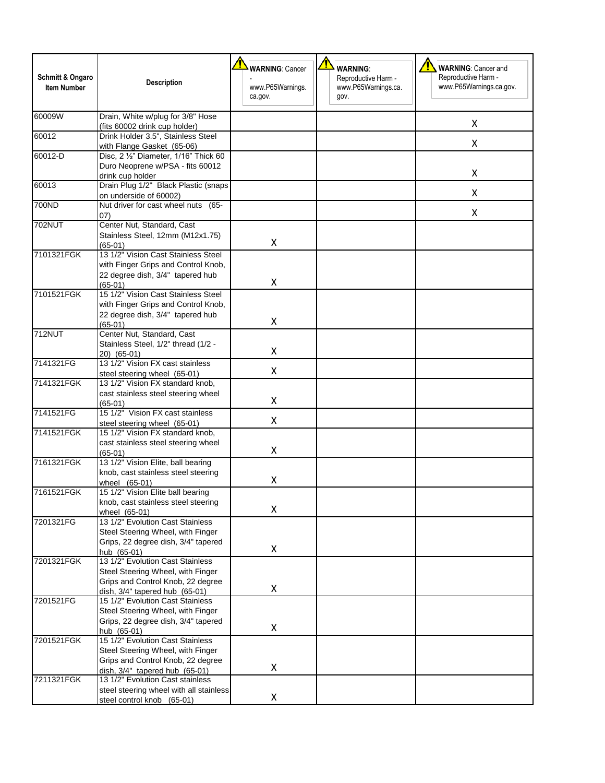| <b>Schmitt &amp; Ongaro</b> | <b>Description</b>                                                                                                          | <b>WARNING: Cancer</b>      | <b>WARNING:</b><br>Reproductive Harm - | <b>WARNING: Cancer and</b><br>Reproductive Harm - |
|-----------------------------|-----------------------------------------------------------------------------------------------------------------------------|-----------------------------|----------------------------------------|---------------------------------------------------|
| <b>Item Number</b>          |                                                                                                                             | www.P65Warnings.<br>ca.gov. | www.P65Warnings.ca.<br>gov.            | www.P65Warnings.ca.gov.                           |
| 60009W                      | Drain, White w/plug for 3/8" Hose<br>(fits 60002 drink cup holder)                                                          |                             |                                        | Χ                                                 |
| 60012                       | Drink Holder 3.5", Stainless Steel<br>with Flange Gasket (65-06)                                                            |                             |                                        | Χ                                                 |
| 60012-D                     | Disc, 2 1/2" Diameter, 1/16" Thick 60                                                                                       |                             |                                        |                                                   |
|                             | Duro Neoprene w/PSA - fits 60012<br>drink cup holder                                                                        |                             |                                        | Χ                                                 |
| 60013                       | Drain Plug 1/2" Black Plastic (snaps<br>on underside of 60002)                                                              |                             |                                        | Χ                                                 |
| 700ND                       | Nut driver for cast wheel nuts (65-<br>(07)                                                                                 |                             |                                        | Χ                                                 |
| <b>702NUT</b>               | Center Nut, Standard, Cast<br>Stainless Steel, 12mm (M12x1.75)<br>$(65-01)$                                                 | X                           |                                        |                                                   |
| 7101321FGK                  | 13 1/2" Vision Cast Stainless Steel<br>with Finger Grips and Control Knob,<br>22 degree dish, 3/4" tapered hub<br>$(65-01)$ | X                           |                                        |                                                   |
| 7101521FGK                  | 15 1/2" Vision Cast Stainless Steel<br>with Finger Grips and Control Knob,<br>22 degree dish, 3/4" tapered hub              | Χ                           |                                        |                                                   |
| <b>712NUT</b>               | $(65-01)$<br>Center Nut, Standard, Cast                                                                                     |                             |                                        |                                                   |
|                             | Stainless Steel, 1/2" thread (1/2 -<br>20) (65-01)                                                                          | Χ                           |                                        |                                                   |
| 7141321FG                   | 13 1/2" Vision FX cast stainless<br>steel steering wheel (65-01)                                                            | Χ                           |                                        |                                                   |
| 7141321FGK                  | 13 1/2" Vision FX standard knob,                                                                                            |                             |                                        |                                                   |
|                             | cast stainless steel steering wheel<br>$(65-01)$                                                                            | X                           |                                        |                                                   |
| 7141521FG                   | 15 1/2" Vision FX cast stainless<br>steel steering wheel (65-01)                                                            | X                           |                                        |                                                   |
| 7141521FGK                  | 15 1/2" Vision FX standard knob,                                                                                            |                             |                                        |                                                   |
|                             | cast stainless steel steering wheel<br>$(65-01)$                                                                            | X                           |                                        |                                                   |
| 7161321FGK                  | 13 1/2" Vision Elite, ball bearing<br>knob, cast stainless steel steering                                                   |                             |                                        |                                                   |
|                             | wheel (65-01)                                                                                                               | Χ                           |                                        |                                                   |
| 7161521FGK                  | 15 1/2" Vision Elite ball bearing<br>knob, cast stainless steel steering                                                    |                             |                                        |                                                   |
| 7201321FG                   | wheel (65-01)<br>13 1/2" Evolution Cast Stainless                                                                           | X                           |                                        |                                                   |
|                             | Steel Steering Wheel, with Finger                                                                                           |                             |                                        |                                                   |
|                             | Grips, 22 degree dish, 3/4" tapered<br>hub (65-01)                                                                          | X                           |                                        |                                                   |
| 7201321FGK                  | 13 1/2" Evolution Cast Stainless<br>Steel Steering Wheel, with Finger                                                       |                             |                                        |                                                   |
|                             | Grips and Control Knob, 22 degree                                                                                           | Χ                           |                                        |                                                   |
| 7201521FG                   | dish, 3/4" tapered hub (65-01)<br>15 1/2" Evolution Cast Stainless                                                          |                             |                                        |                                                   |
|                             | Steel Steering Wheel, with Finger                                                                                           |                             |                                        |                                                   |
|                             | Grips, 22 degree dish, 3/4" tapered<br>hub (65-01)                                                                          | X                           |                                        |                                                   |
| 7201521FGK                  | 15 1/2" Evolution Cast Stainless<br>Steel Steering Wheel, with Finger                                                       |                             |                                        |                                                   |
|                             | Grips and Control Knob, 22 degree                                                                                           | X                           |                                        |                                                   |
| 7211321FGK                  | dish, $3/4$ " tapered hub $(65-01)$<br>13 1/2" Evolution Cast stainless                                                     |                             |                                        |                                                   |
|                             | steel steering wheel with all stainless<br>steel control knob (65-01)                                                       | X                           |                                        |                                                   |
|                             |                                                                                                                             |                             |                                        |                                                   |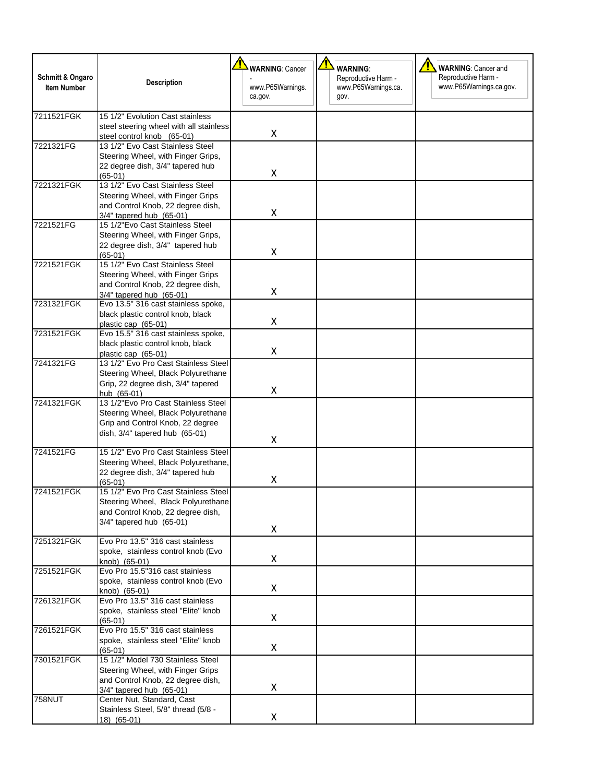| Schmitt & Ongaro<br><b>Item Number</b> | <b>Description</b>                                                                                                                              | <b>WARNING: Cancer</b><br>www.P65Warnings.<br>ca.gov. | <b>WARNING:</b><br>Reproductive Harm -<br>www.P65Warnings.ca.<br>gov. | <b>WARNING: Cancer and</b><br>Reproductive Harm -<br>www.P65Warnings.ca.gov. |
|----------------------------------------|-------------------------------------------------------------------------------------------------------------------------------------------------|-------------------------------------------------------|-----------------------------------------------------------------------|------------------------------------------------------------------------------|
| 7211521FGK                             | 15 1/2" Evolution Cast stainless<br>steel steering wheel with all stainless<br>steel control knob (65-01)                                       | X                                                     |                                                                       |                                                                              |
| 7221321FG                              | 13 1/2" Evo Cast Stainless Steel<br>Steering Wheel, with Finger Grips,<br>22 degree dish, 3/4" tapered hub<br>$(65-01)$                         | X                                                     |                                                                       |                                                                              |
| 7221321FGK                             | 13 1/2" Evo Cast Stainless Steel<br>Steering Wheel, with Finger Grips<br>and Control Knob, 22 degree dish,<br>3/4" tapered hub (65-01)          | X                                                     |                                                                       |                                                                              |
| 7221521FG                              | 15 1/2"Evo Cast Stainless Steel<br>Steering Wheel, with Finger Grips,<br>22 degree dish, 3/4" tapered hub<br>$(65-01)$                          | X                                                     |                                                                       |                                                                              |
| 7221521FGK                             | 15 1/2" Evo Cast Stainless Steel<br>Steering Wheel, with Finger Grips<br>and Control Knob, 22 degree dish,<br>3/4" tapered hub (65-01)          | X                                                     |                                                                       |                                                                              |
| 7231321FGK                             | Evo 13.5" 316 cast stainless spoke,<br>black plastic control knob, black<br>plastic cap (65-01)                                                 | X                                                     |                                                                       |                                                                              |
| 7231521FGK                             | Evo 15.5" 316 cast stainless spoke,<br>black plastic control knob, black<br>plastic cap (65-01)                                                 | X                                                     |                                                                       |                                                                              |
| 7241321FG                              | 13 1/2" Evo Pro Cast Stainless Steel<br>Steering Wheel, Black Polyurethane<br>Grip, 22 degree dish, 3/4" tapered<br>hub (65-01)                 | X                                                     |                                                                       |                                                                              |
| 7241321FGK                             | 13 1/2"Evo Pro Cast Stainless Steel<br>Steering Wheel, Black Polyurethane<br>Grip and Control Knob, 22 degree<br>dish, 3/4" tapered hub (65-01) | X                                                     |                                                                       |                                                                              |
| 7241521FG                              | 15 1/2" Evo Pro Cast Stainless Steel<br>Steering Wheel, Black Polyurethane,<br>22 degree dish, 3/4" tapered hub<br>$(65-01)$                    | Χ                                                     |                                                                       |                                                                              |
| 7241521FGK                             | 15 1/2" Evo Pro Cast Stainless Steel<br>Steering Wheel, Black Polyurethane<br>and Control Knob, 22 degree dish,<br>3/4" tapered hub (65-01)     | X                                                     |                                                                       |                                                                              |
| 7251321FGK                             | Evo Pro 13.5" 316 cast stainless<br>spoke, stainless control knob (Evo<br>knob) (65-01)                                                         | X                                                     |                                                                       |                                                                              |
| 7251521FGK                             | Evo Pro 15.5"316 cast stainless<br>spoke, stainless control knob (Evo<br>knob) (65-01)                                                          | X                                                     |                                                                       |                                                                              |
| 7261321FGK                             | Evo Pro 13.5" 316 cast stainless<br>spoke, stainless steel "Elite" knob<br>$(65-01)$                                                            | X                                                     |                                                                       |                                                                              |
| 7261521FGK                             | Evo Pro 15.5" 316 cast stainless<br>spoke, stainless steel "Elite" knob<br>$(65-01)$                                                            | X                                                     |                                                                       |                                                                              |
| 7301521FGK                             | 15 1/2" Model 730 Stainless Steel<br>Steering Wheel, with Finger Grips<br>and Control Knob, 22 degree dish,<br>3/4" tapered hub (65-01)         | X                                                     |                                                                       |                                                                              |
| <b>758NUT</b>                          | Center Nut, Standard, Cast<br>Stainless Steel, 5/8" thread (5/8 -<br>$18)$ (65-01)                                                              | X                                                     |                                                                       |                                                                              |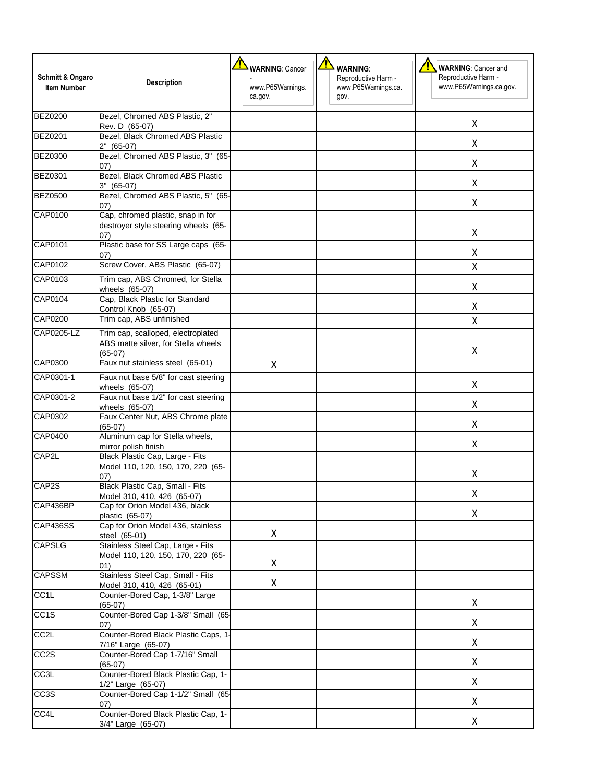| Schmitt & Ongaro  | <b>Description</b>                                                                     | <b>WARNING: Cancer</b>      | <b>WARNING:</b><br>Reproductive Harm - | <b>WARNING: Cancer and</b><br>Reproductive Harm - |
|-------------------|----------------------------------------------------------------------------------------|-----------------------------|----------------------------------------|---------------------------------------------------|
| Item Number       |                                                                                        | www.P65Warnings.<br>ca.gov. | www.P65Warnings.ca.<br>gov.            | www.P65Warnings.ca.gov.                           |
| <b>BEZ0200</b>    | Bezel, Chromed ABS Plastic, 2"<br>Rev. D (65-07)                                       |                             |                                        | X                                                 |
| <b>BEZ0201</b>    | Bezel, Black Chromed ABS Plastic<br>$2"$ (65-07)                                       |                             |                                        | X                                                 |
| <b>BEZ0300</b>    | Bezel, Chromed ABS Plastic, 3" (65-<br>07)                                             |                             |                                        | X                                                 |
| <b>BEZ0301</b>    | Bezel, Black Chromed ABS Plastic<br>$3''$ (65-07)                                      |                             |                                        | Χ                                                 |
| <b>BEZ0500</b>    | Bezel, Chromed ABS Plastic, 5" (65-<br>07)                                             |                             |                                        | X                                                 |
| CAP0100           | Cap, chromed plastic, snap in for<br>destroyer style steering wheels (65-<br>(07)      |                             |                                        | Χ                                                 |
| CAP0101           | Plastic base for SS Large caps (65-<br>07)                                             |                             |                                        | x                                                 |
| CAP0102           | Screw Cover, ABS Plastic (65-07)                                                       |                             |                                        | Χ                                                 |
| CAP0103           | Trim cap, ABS Chromed, for Stella<br>wheels (65-07)                                    |                             |                                        | Χ                                                 |
| CAP0104           | Cap, Black Plastic for Standard<br>Control Knob (65-07)                                |                             |                                        | x                                                 |
| <b>CAP0200</b>    | Trim cap, ABS unfinished                                                               |                             |                                        | X                                                 |
| CAP0205-LZ        | Trim cap, scalloped, electroplated<br>ABS matte silver, for Stella wheels<br>$(65-07)$ |                             |                                        | X                                                 |
| CAP0300           | Faux nut stainless steel (65-01)                                                       | X                           |                                        |                                                   |
| CAP0301-1         | Faux nut base 5/8" for cast steering<br>wheels (65-07)                                 |                             |                                        | X                                                 |
| CAP0301-2         | Faux nut base 1/2" for cast steering<br>wheels (65-07)                                 |                             |                                        | Χ                                                 |
| CAP0302           | Faux Center Nut, ABS Chrome plate<br>$(65-07)$                                         |                             |                                        | X                                                 |
| <b>CAP0400</b>    | Aluminum cap for Stella wheels,<br>mirror polish finish                                |                             |                                        | Χ                                                 |
| CAP2L             | Black Plastic Cap, Large - Fits<br>Model 110, 120, 150, 170, 220 (65-<br>(07)          |                             |                                        | X                                                 |
| CAP2S             | Black Plastic Cap, Small - Fits<br>Model 310, 410, 426 (65-07)                         |                             |                                        | Χ                                                 |
| CAP436BP          | Cap for Orion Model 436, black<br>plastic (65-07)                                      |                             |                                        | X                                                 |
| <b>CAP436SS</b>   | Cap for Orion Model 436, stainless<br>steel (65-01)                                    | X                           |                                        |                                                   |
| <b>CAPSLG</b>     | Stainless Steel Cap, Large - Fits<br>Model 110, 120, 150, 170, 220 (65-<br>01)         | X                           |                                        |                                                   |
| <b>CAPSSM</b>     | Stainless Steel Cap, Small - Fits<br>Model 310, 410, 426 (65-01)                       | X                           |                                        |                                                   |
| CC <sub>1</sub> L | Counter-Bored Cap, 1-3/8" Large<br>$(65-07)$                                           |                             |                                        | X                                                 |
| CC <sub>1</sub> S | Counter-Bored Cap 1-3/8" Small (65-<br>07)                                             |                             |                                        | X                                                 |
| CC <sub>2</sub> L | Counter-Bored Black Plastic Caps, 1-<br>7/16" Large (65-07)                            |                             |                                        | X                                                 |
| CC <sub>2</sub> S | Counter-Bored Cap 1-7/16" Small<br>$(65-07)$                                           |                             |                                        | Χ                                                 |
| CC <sub>3</sub> L | Counter-Bored Black Plastic Cap, 1-<br>1/2" Large (65-07)                              |                             |                                        | X                                                 |
| CC <sub>3</sub> S | Counter-Bored Cap 1-1/2" Small (65-<br>(07)                                            |                             |                                        | Χ                                                 |
| CC4L              | Counter-Bored Black Plastic Cap, 1-<br>3/4" Large (65-07)                              |                             |                                        | X                                                 |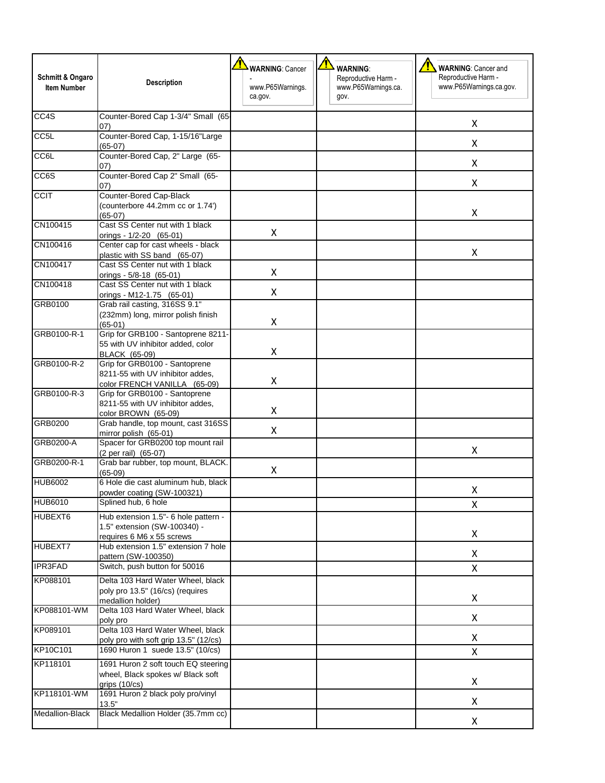| <b>Schmitt &amp; Ongaro</b><br><b>Item Number</b> | <b>Description</b>                                                                                | <b>WARNING: Cancer</b><br>www.P65Warnings.<br>ca.gov. | <mark>↑</mark><br><b>WARNING:</b><br>Reproductive Harm -<br>www.P65Warnings.ca.<br>gov. | <u>⁄N</u><br><b>WARNING: Cancer and</b><br>Reproductive Harm -<br>www.P65Warnings.ca.gov. |
|---------------------------------------------------|---------------------------------------------------------------------------------------------------|-------------------------------------------------------|-----------------------------------------------------------------------------------------|-------------------------------------------------------------------------------------------|
| CC4S                                              | Counter-Bored Cap 1-3/4" Small (65-<br>07)                                                        |                                                       |                                                                                         | X                                                                                         |
| CC <sub>5</sub> L                                 | Counter-Bored Cap, 1-15/16"Large<br>$(65-07)$                                                     |                                                       |                                                                                         | X                                                                                         |
| CC <sub>e</sub> r                                 | Counter-Bored Cap, 2" Large (65-<br>07)                                                           |                                                       |                                                                                         | X                                                                                         |
| CC6S                                              | Counter-Bored Cap 2" Small (65-<br>(07)                                                           |                                                       |                                                                                         | X                                                                                         |
| <b>CCIT</b>                                       | Counter-Bored Cap-Black<br>(counterbore 44.2mm cc or 1.74')<br>$(65-07)$                          |                                                       |                                                                                         | X                                                                                         |
| CN100415                                          | Cast SS Center nut with 1 black<br>orings - 1/2-20 (65-01)                                        | X                                                     |                                                                                         |                                                                                           |
| CN100416                                          | Center cap for cast wheels - black<br>plastic with SS band (65-07)                                |                                                       |                                                                                         | X                                                                                         |
| CN100417                                          | Cast SS Center nut with 1 black<br>orings - 5/8-18 (65-01)                                        | X                                                     |                                                                                         |                                                                                           |
| CN100418                                          | Cast SS Center nut with 1 black<br>orings - M12-1.75 (65-01)                                      | X                                                     |                                                                                         |                                                                                           |
| GRB0100                                           | Grab rail casting, 316SS 9.1"<br>(232mm) long, mirror polish finish<br>$(65-01)$                  | X                                                     |                                                                                         |                                                                                           |
| GRB0100-R-1                                       | Grip for GRB100 - Santoprene 8211-<br>55 with UV inhibitor added, color<br><b>BLACK (65-09)</b>   | X                                                     |                                                                                         |                                                                                           |
| GRB0100-R-2                                       | Grip for GRB0100 - Santoprene<br>8211-55 with UV inhibitor addes,<br>color FRENCH VANILLA (65-09) | X                                                     |                                                                                         |                                                                                           |
| GRB0100-R-3                                       | Grip for GRB0100 - Santoprene<br>8211-55 with UV inhibitor addes,<br>color BROWN (65-09)          | X                                                     |                                                                                         |                                                                                           |
| GRB0200                                           | Grab handle, top mount, cast 316SS<br>mirror polish (65-01)                                       | X                                                     |                                                                                         |                                                                                           |
| GRB0200-A                                         | Spacer for GRB0200 top mount rail<br>(2 per rail) (65-07)                                         |                                                       |                                                                                         | X                                                                                         |
| GRB0200-R-1                                       | Grab bar rubber, top mount, BLACK.<br>$(65-09)$                                                   | X                                                     |                                                                                         |                                                                                           |
| <b>HUB6002</b>                                    | 6 Hole die cast aluminum hub, black<br>powder coating (SW-100321)                                 |                                                       |                                                                                         | X                                                                                         |
| <b>HUB6010</b>                                    | Splined hub, 6 hole                                                                               |                                                       |                                                                                         | X                                                                                         |
| HUBEXT6                                           | Hub extension 1.5"- 6 hole pattern -<br>1.5" extension (SW-100340) -<br>requires 6 M6 x 55 screws |                                                       |                                                                                         | X                                                                                         |
| HUBEXT7                                           | Hub extension 1.5" extension 7 hole<br>pattern (SW-100350)                                        |                                                       |                                                                                         | X                                                                                         |
| <b>IPR3FAD</b>                                    | Switch, push button for 50016                                                                     |                                                       |                                                                                         | X                                                                                         |
| KP088101                                          | Delta 103 Hard Water Wheel, black<br>poly pro 13.5" (16/cs) (requires<br>medallion holder)        |                                                       |                                                                                         | X                                                                                         |
| KP088101-WM                                       | Delta 103 Hard Water Wheel, black<br>poly pro                                                     |                                                       |                                                                                         | X                                                                                         |
| KP089101                                          | Delta 103 Hard Water Wheel, black<br>poly pro with soft grip 13.5" (12/cs)                        |                                                       |                                                                                         | X                                                                                         |
| KP10C101                                          | 1690 Huron 1 suede 13.5" (10/cs)                                                                  |                                                       |                                                                                         | X                                                                                         |
| KP118101                                          | 1691 Huron 2 soft touch EQ steering<br>wheel, Black spokes w/ Black soft<br>grips $(10/cs)$       |                                                       |                                                                                         | Χ                                                                                         |
| KP118101-WM                                       | 1691 Huron 2 black poly pro/vinyl<br>13.5"                                                        |                                                       |                                                                                         | X                                                                                         |
| Medallion-Black                                   | Black Medallion Holder (35.7mm cc)                                                                |                                                       |                                                                                         | X                                                                                         |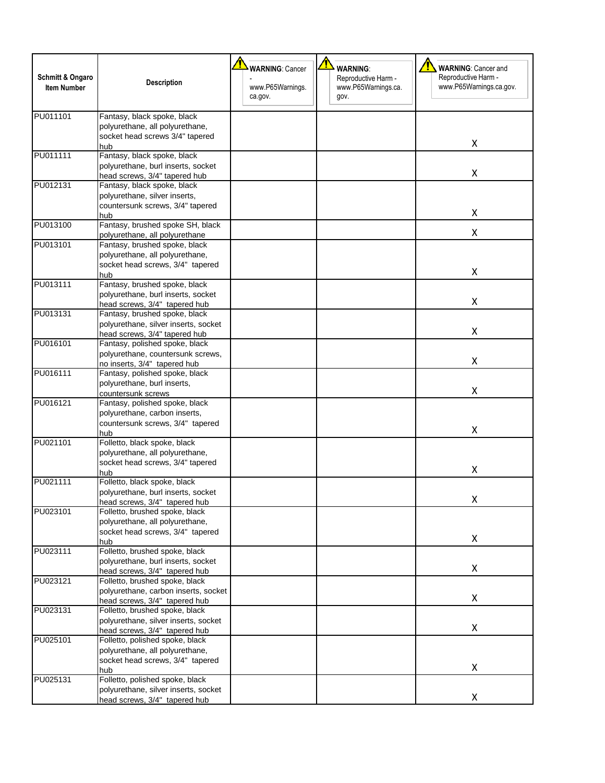| Schmitt & Ongaro<br><b>Item Number</b> | <b>Description</b>                                                                                            | <b>WARNING: Cancer</b><br>www.P65Warnings.<br>ca.gov. | <b>WARNING:</b><br>Reproductive Harm -<br>www.P65Warnings.ca.<br>gov. | <b>WARNING: Cancer and</b><br>Reproductive Harm -<br>www.P65Warnings.ca.gov. |
|----------------------------------------|---------------------------------------------------------------------------------------------------------------|-------------------------------------------------------|-----------------------------------------------------------------------|------------------------------------------------------------------------------|
| PU011101                               | Fantasy, black spoke, black<br>polyurethane, all polyurethane,<br>socket head screws 3/4" tapered<br>hub      |                                                       |                                                                       | X                                                                            |
| PU011111                               | Fantasy, black spoke, black<br>polyurethane, burl inserts, socket<br>head screws, 3/4" tapered hub            |                                                       |                                                                       | X                                                                            |
| PU012131                               | Fantasy, black spoke, black<br>polyurethane, silver inserts,<br>countersunk screws, 3/4" tapered<br>hub       |                                                       |                                                                       | X                                                                            |
| PU013100                               | Fantasy, brushed spoke SH, black<br>polyurethane, all polyurethane                                            |                                                       |                                                                       | X                                                                            |
| PU013101                               | Fantasy, brushed spoke, black<br>polyurethane, all polyurethane,<br>socket head screws, 3/4" tapered<br>hub   |                                                       |                                                                       | X                                                                            |
| PU013111                               | Fantasy, brushed spoke, black<br>polyurethane, burl inserts, socket<br>head screws, 3/4" tapered hub          |                                                       |                                                                       | X                                                                            |
| PU013131                               | Fantasy, brushed spoke, black<br>polyurethane, silver inserts, socket<br>head screws, 3/4" tapered hub        |                                                       |                                                                       | X                                                                            |
| PU016101                               | Fantasy, polished spoke, black<br>polyurethane, countersunk screws,<br>no inserts, 3/4" tapered hub           |                                                       |                                                                       | X                                                                            |
| PU016111                               | Fantasy, polished spoke, black<br>polyurethane, burl inserts,<br>countersunk screws                           |                                                       |                                                                       | X                                                                            |
| PU016121                               | Fantasy, polished spoke, black<br>polyurethane, carbon inserts,<br>countersunk screws, 3/4" tapered<br>hub    |                                                       |                                                                       | x                                                                            |
| PU021101                               | Folletto, black spoke, black<br>polyurethane, all polyurethane,<br>socket head screws, 3/4" tapered<br>hub    |                                                       |                                                                       | Χ                                                                            |
| PU021111                               | Folletto, black spoke, black<br>polyurethane, burl inserts, socket<br>head screws, 3/4" tapered hub           |                                                       |                                                                       | X                                                                            |
| PU023101                               | Folletto, brushed spoke, black<br>polyurethane, all polyurethane,<br>socket head screws, 3/4" tapered<br>hub  |                                                       |                                                                       | Χ                                                                            |
| PU023111                               | Folletto, brushed spoke, black<br>polyurethane, burl inserts, socket<br>head screws, 3/4" tapered hub         |                                                       |                                                                       | X                                                                            |
| PU023121                               | Folletto, brushed spoke, black<br>polyurethane, carbon inserts, socket<br>head screws, 3/4" tapered hub       |                                                       |                                                                       | X                                                                            |
| PU023131                               | Folletto, brushed spoke, black<br>polyurethane, silver inserts, socket<br>head screws, 3/4" tapered hub       |                                                       |                                                                       | X                                                                            |
| PU025101                               | Folletto, polished spoke, black<br>polyurethane, all polyurethane,<br>socket head screws, 3/4" tapered<br>hub |                                                       |                                                                       | X                                                                            |
| PU025131                               | Folletto, polished spoke, black<br>polyurethane, silver inserts, socket<br>head screws, 3/4" tapered hub      |                                                       |                                                                       | X                                                                            |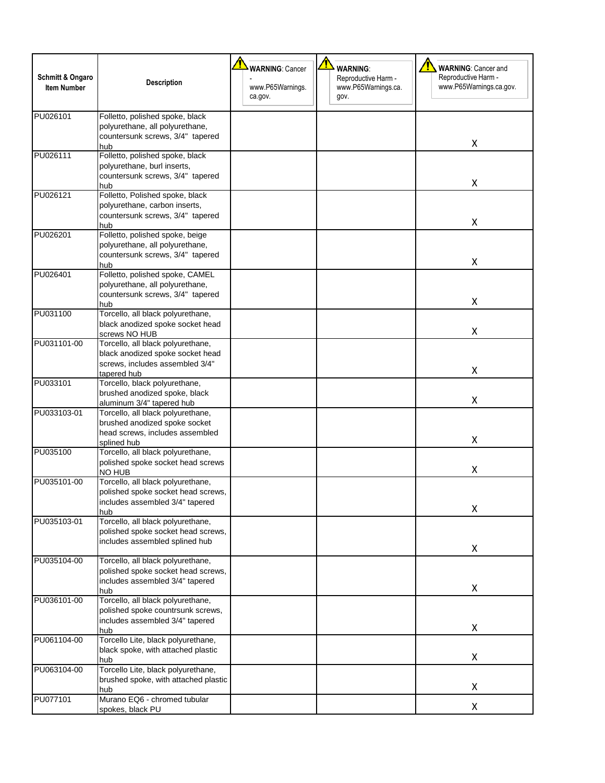| Schmitt & Ongaro<br><b>Item Number</b> | <b>Description</b>                                                                                                      | <b>WARNING: Cancer</b><br>www.P65Warnings.<br>ca.gov. | <b>WARNING:</b><br>Reproductive Harm -<br>www.P65Warnings.ca.<br>gov. | <b>WARNING: Cancer and</b><br>Reproductive Harm -<br>www.P65Warnings.ca.gov. |
|----------------------------------------|-------------------------------------------------------------------------------------------------------------------------|-------------------------------------------------------|-----------------------------------------------------------------------|------------------------------------------------------------------------------|
| PU026101                               | Folletto, polished spoke, black<br>polyurethane, all polyurethane,<br>countersunk screws, 3/4" tapered<br>hub           |                                                       |                                                                       | X                                                                            |
| PU026111                               | Folletto, polished spoke, black<br>polyurethane, burl inserts,<br>countersunk screws, 3/4" tapered<br>hub               |                                                       |                                                                       | Χ                                                                            |
| PU026121                               | Folletto, Polished spoke, black<br>polyurethane, carbon inserts,<br>countersunk screws, 3/4" tapered<br>hub             |                                                       |                                                                       | x                                                                            |
| PU026201                               | Folletto, polished spoke, beige<br>polyurethane, all polyurethane,<br>countersunk screws, 3/4" tapered<br>hub           |                                                       |                                                                       | X                                                                            |
| PU026401                               | Folletto, polished spoke, CAMEL<br>polyurethane, all polyurethane,<br>countersunk screws, 3/4" tapered<br>hub           |                                                       |                                                                       | X                                                                            |
| PU031100                               | Torcello, all black polyurethane,<br>black anodized spoke socket head<br>screws NO HUB                                  |                                                       |                                                                       | X                                                                            |
| PU031101-00                            | Torcello, all black polyurethane,<br>black anodized spoke socket head<br>screws, includes assembled 3/4"<br>tapered hub |                                                       |                                                                       | x                                                                            |
| PU033101                               | Torcello, black polyurethane,<br>brushed anodized spoke, black<br>aluminum 3/4" tapered hub                             |                                                       |                                                                       | X                                                                            |
| PU033103-01                            | Torcello, all black polyurethane,<br>brushed anodized spoke socket<br>head screws, includes assembled<br>splined hub    |                                                       |                                                                       | X                                                                            |
| PU035100                               | Torcello, all black polyurethane,<br>polished spoke socket head screws<br>NO HUB                                        |                                                       |                                                                       | Χ                                                                            |
| PU035101-00                            | Torcello, all black polyurethane,<br>polished spoke socket head screws,<br>includes assembled 3/4" tapered<br>hub       |                                                       |                                                                       | Χ                                                                            |
| PU035103-01                            | Torcello, all black polyurethane,<br>polished spoke socket head screws,<br>includes assembled splined hub               |                                                       |                                                                       | X                                                                            |
| PU035104-00                            | Torcello, all black polyurethane,<br>polished spoke socket head screws,<br>includes assembled 3/4" tapered<br>hub       |                                                       |                                                                       | Χ                                                                            |
| PU036101-00                            | Torcello, all black polyurethane,<br>polished spoke countrsunk screws,<br>includes assembled 3/4" tapered<br>hub        |                                                       |                                                                       | X                                                                            |
| PU061104-00                            | Torcello Lite, black polyurethane,<br>black spoke, with attached plastic<br>hub                                         |                                                       |                                                                       | X                                                                            |
| PU063104-00                            | Torcello Lite, black polyurethane,<br>brushed spoke, with attached plastic<br>hub                                       |                                                       |                                                                       | Χ                                                                            |
| PU077101                               | Murano EQ6 - chromed tubular<br>spokes, black PU                                                                        |                                                       |                                                                       | X                                                                            |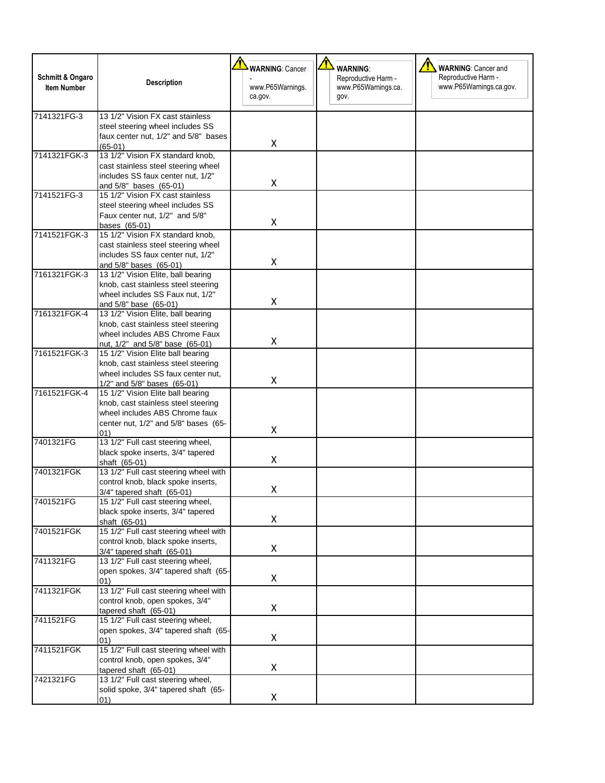| <b>Schmitt &amp; Ongaro</b><br><b>Item Number</b> | <b>Description</b>                                                        | <b>WARNING: Cancer</b><br>www.P65Warnings. | <b>WARNING:</b><br>Reproductive Harm -<br>www.P65Warnings.ca. | <b>WARNING: Cancer and</b><br>Reproductive Harm -<br>www.P65Warnings.ca.gov. |
|---------------------------------------------------|---------------------------------------------------------------------------|--------------------------------------------|---------------------------------------------------------------|------------------------------------------------------------------------------|
|                                                   |                                                                           | ca.gov.                                    | gov.                                                          |                                                                              |
| 7141321FG-3                                       | 13 1/2" Vision FX cast stainless                                          |                                            |                                                               |                                                                              |
|                                                   | steel steering wheel includes SS                                          |                                            |                                                               |                                                                              |
|                                                   | faux center nut, 1/2" and 5/8" bases<br>$(65-01)$                         | X                                          |                                                               |                                                                              |
| 7141321FGK-3                                      | 13 1/2" Vision FX standard knob,                                          |                                            |                                                               |                                                                              |
|                                                   | cast stainless steel steering wheel                                       |                                            |                                                               |                                                                              |
|                                                   | includes SS faux center nut, 1/2"                                         |                                            |                                                               |                                                                              |
|                                                   | and 5/8" bases (65-01)                                                    | Χ                                          |                                                               |                                                                              |
| 7141521FG-3                                       | 15 1/2" Vision FX cast stainless                                          |                                            |                                                               |                                                                              |
|                                                   | steel steering wheel includes SS                                          |                                            |                                                               |                                                                              |
|                                                   | Faux center nut, 1/2" and 5/8"<br>bases (65-01)                           | Χ                                          |                                                               |                                                                              |
| 7141521FGK-3                                      | 15 1/2" Vision FX standard knob,                                          |                                            |                                                               |                                                                              |
|                                                   | cast stainless steel steering wheel                                       |                                            |                                                               |                                                                              |
|                                                   | includes SS faux center nut, 1/2"                                         |                                            |                                                               |                                                                              |
|                                                   | and 5/8" bases (65-01)                                                    | Χ                                          |                                                               |                                                                              |
| 7161321FGK-3                                      | 13 1/2" Vision Elite, ball bearing                                        |                                            |                                                               |                                                                              |
|                                                   | knob, cast stainless steel steering                                       |                                            |                                                               |                                                                              |
|                                                   | wheel includes SS Faux nut, 1/2"                                          | X                                          |                                                               |                                                                              |
| 7161321FGK-4                                      | and 5/8" base (65-01)<br>13 1/2" Vision Elite, ball bearing               |                                            |                                                               |                                                                              |
|                                                   | knob, cast stainless steel steering                                       |                                            |                                                               |                                                                              |
|                                                   | wheel includes ABS Chrome Faux                                            |                                            |                                                               |                                                                              |
|                                                   | nut, 1/2" and 5/8" base (65-01)                                           | X                                          |                                                               |                                                                              |
| 7161521FGK-3                                      | 15 1/2" Vision Elite ball bearing                                         |                                            |                                                               |                                                                              |
|                                                   | knob, cast stainless steel steering                                       |                                            |                                                               |                                                                              |
|                                                   | wheel includes SS faux center nut,                                        | Χ                                          |                                                               |                                                                              |
| 7161521FGK-4                                      | 1/2" and 5/8" bases (65-01)                                               |                                            |                                                               |                                                                              |
|                                                   | 15 1/2" Vision Elite ball bearing<br>knob, cast stainless steel steering  |                                            |                                                               |                                                                              |
|                                                   | wheel includes ABS Chrome faux                                            |                                            |                                                               |                                                                              |
|                                                   | center nut, 1/2" and 5/8" bases (65-                                      |                                            |                                                               |                                                                              |
|                                                   | 01)                                                                       | X                                          |                                                               |                                                                              |
| 7401321FG                                         | 13 1/2" Full cast steering wheel,                                         |                                            |                                                               |                                                                              |
|                                                   | black spoke inserts, 3/4" tapered                                         | X                                          |                                                               |                                                                              |
|                                                   | shaft (65-01)                                                             |                                            |                                                               |                                                                              |
| 7401321FGK                                        | 13 1/2" Full cast steering wheel with                                     |                                            |                                                               |                                                                              |
|                                                   | control knob, black spoke inserts,<br>3/4" tapered shaft (65-01)          | Χ                                          |                                                               |                                                                              |
| 7401521FG                                         | 15 1/2" Full cast steering wheel,                                         |                                            |                                                               |                                                                              |
|                                                   | black spoke inserts, 3/4" tapered                                         |                                            |                                                               |                                                                              |
|                                                   | shaft (65-01)                                                             | Χ                                          |                                                               |                                                                              |
| 7401521FGK                                        | 15 1/2" Full cast steering wheel with                                     |                                            |                                                               |                                                                              |
|                                                   | control knob, black spoke inserts,                                        |                                            |                                                               |                                                                              |
|                                                   | $3/4"$ tapered shaft $(65-01)$                                            | X                                          |                                                               |                                                                              |
| 7411321FG                                         | 13 1/2" Full cast steering wheel,<br>open spokes, 3/4" tapered shaft (65- |                                            |                                                               |                                                                              |
|                                                   | 01)                                                                       | Χ                                          |                                                               |                                                                              |
| 7411321FGK                                        | 13 1/2" Full cast steering wheel with                                     |                                            |                                                               |                                                                              |
|                                                   | control knob, open spokes, 3/4"                                           |                                            |                                                               |                                                                              |
|                                                   | tapered shaft (65-01)                                                     | Χ                                          |                                                               |                                                                              |
| 7411521FG                                         | 15 1/2" Full cast steering wheel,                                         |                                            |                                                               |                                                                              |
|                                                   | open spokes, 3/4" tapered shaft (65-                                      |                                            |                                                               |                                                                              |
|                                                   | 01)                                                                       | $\pmb{\mathsf{X}}$                         |                                                               |                                                                              |
| 7411521FGK                                        | 15 1/2" Full cast steering wheel with                                     |                                            |                                                               |                                                                              |
|                                                   | control knob, open spokes, 3/4"<br>tapered shaft (65-01)                  | Χ                                          |                                                               |                                                                              |
| 7421321FG                                         | 13 1/2" Full cast steering wheel,                                         |                                            |                                                               |                                                                              |
|                                                   | solid spoke, 3/4" tapered shaft (65-                                      |                                            |                                                               |                                                                              |
|                                                   | 01)                                                                       | X                                          |                                                               |                                                                              |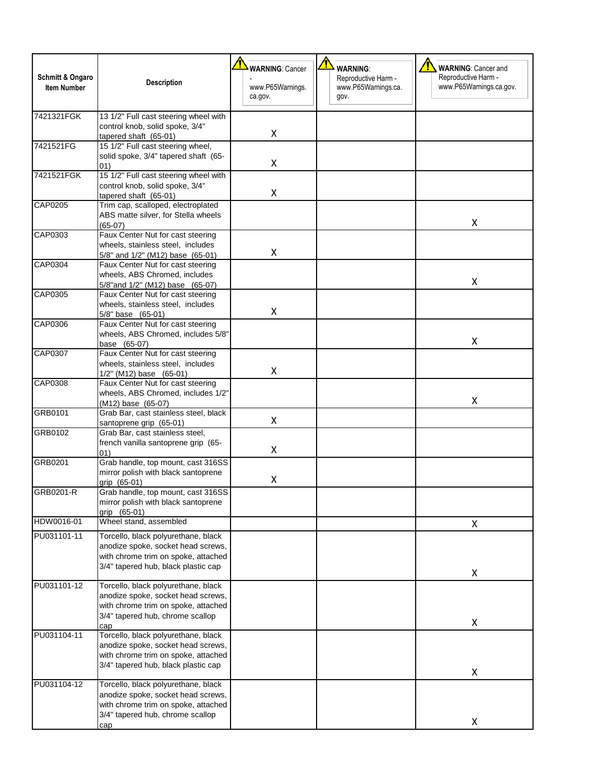| <b>Schmitt &amp; Ongaro</b><br><b>Item Number</b> | <b>Description</b>                                                                                                                                          | <b>WARNING: Cancer</b><br>www.P65Warnings.<br>ca.gov. | <b>WARNING:</b><br>Reproductive Harm -<br>www.P65Warnings.ca.<br>gov. | <b>WARNING: Cancer and</b><br>Reproductive Harm -<br>www.P65Warnings.ca.gov. |
|---------------------------------------------------|-------------------------------------------------------------------------------------------------------------------------------------------------------------|-------------------------------------------------------|-----------------------------------------------------------------------|------------------------------------------------------------------------------|
| 7421321FGK                                        | 13 1/2" Full cast steering wheel with<br>control knob, solid spoke, 3/4"<br>tapered shaft (65-01)                                                           | X                                                     |                                                                       |                                                                              |
| 7421521FG                                         | 15 1/2" Full cast steering wheel,<br>solid spoke, 3/4" tapered shaft (65-<br>01)                                                                            | X                                                     |                                                                       |                                                                              |
| 7421521FGK                                        | 15 1/2" Full cast steering wheel with<br>control knob, solid spoke, 3/4"<br>tapered shaft (65-01)                                                           | Χ                                                     |                                                                       |                                                                              |
| CAP0205                                           | Trim cap, scalloped, electroplated<br>ABS matte silver, for Stella wheels<br>$(65-07)$                                                                      |                                                       |                                                                       | x                                                                            |
| CAP0303                                           | Faux Center Nut for cast steering<br>wheels, stainless steel, includes<br>5/8" and 1/2" (M12) base (65-01)                                                  | Χ                                                     |                                                                       |                                                                              |
| CAP0304                                           | Faux Center Nut for cast steering<br>wheels, ABS Chromed, includes<br>5/8" and 1/2" (M12) base (65-07)                                                      |                                                       |                                                                       | x                                                                            |
| CAP0305                                           | Faux Center Nut for cast steering<br>wheels, stainless steel, includes<br>5/8" base (65-01)                                                                 | Χ                                                     |                                                                       |                                                                              |
| CAP0306                                           | Faux Center Nut for cast steering<br>wheels, ABS Chromed, includes 5/8"<br>base (65-07)                                                                     |                                                       |                                                                       | Χ                                                                            |
| CAP0307                                           | Faux Center Nut for cast steering<br>wheels, stainless steel, includes<br>1/2" (M12) base (65-01)                                                           | X                                                     |                                                                       |                                                                              |
| CAP0308                                           | Faux Center Nut for cast steering<br>wheels, ABS Chromed, includes 1/2"<br>(M12) base (65-07)                                                               |                                                       |                                                                       | X                                                                            |
| GRB0101                                           | Grab Bar, cast stainless steel, black<br>santoprene grip (65-01)                                                                                            | X                                                     |                                                                       |                                                                              |
| GRB0102                                           | Grab Bar, cast stainless steel,<br>french vanilla santoprene grip (65-<br>01)                                                                               | X                                                     |                                                                       |                                                                              |
| GRB0201                                           | Grab handle, top mount, cast 316SS<br>mirror polish with black santoprene<br>grip (65-01)                                                                   | Χ                                                     |                                                                       |                                                                              |
| GRB0201-R                                         | Grab handle, top mount, cast 316SS<br>mirror polish with black santoprene<br>grip (65-01)                                                                   |                                                       |                                                                       |                                                                              |
| HDW0016-01                                        | Wheel stand, assembled                                                                                                                                      |                                                       |                                                                       | X                                                                            |
| PU031101-11                                       | Torcello, black polyurethane, black<br>anodize spoke, socket head screws,<br>with chrome trim on spoke, attached<br>3/4" tapered hub, black plastic cap     |                                                       |                                                                       | X                                                                            |
| PU031101-12                                       | Torcello, black polyurethane, black<br>anodize spoke, socket head screws,<br>with chrome trim on spoke, attached<br>3/4" tapered hub, chrome scallop<br>cap |                                                       |                                                                       | Χ                                                                            |
| PU031104-11                                       | Torcello, black polyurethane, black<br>anodize spoke, socket head screws,<br>with chrome trim on spoke, attached<br>3/4" tapered hub, black plastic cap     |                                                       |                                                                       | Χ                                                                            |
| PU031104-12                                       | Torcello, black polyurethane, black<br>anodize spoke, socket head screws,<br>with chrome trim on spoke, attached<br>3/4" tapered hub, chrome scallop<br>cap |                                                       |                                                                       | X                                                                            |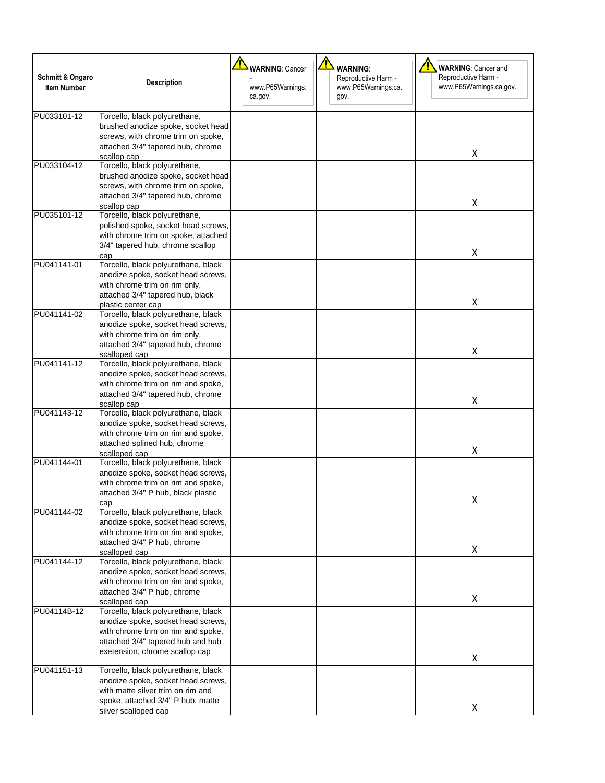| Schmitt & Ongaro<br><b>Item Number</b> | <b>Description</b>                                                                                                                                                                     | <b>WARNING: Cancer</b><br>www.P65Warnings.<br>ca.gov. | <b>WARNING:</b><br>Reproductive Harm -<br>www.P65Warnings.ca.<br>gov. | <b>WARNING: Cancer and</b><br>Reproductive Harm -<br>www.P65Warnings.ca.gov. |
|----------------------------------------|----------------------------------------------------------------------------------------------------------------------------------------------------------------------------------------|-------------------------------------------------------|-----------------------------------------------------------------------|------------------------------------------------------------------------------|
| PU033101-12                            | Torcello, black polyurethane,<br>brushed anodize spoke, socket head<br>screws, with chrome trim on spoke,<br>attached 3/4" tapered hub, chrome<br>scallop cap                          |                                                       |                                                                       | Χ                                                                            |
| PU033104-12                            | Torcello, black polyurethane,<br>brushed anodize spoke, socket head<br>screws, with chrome trim on spoke,<br>attached 3/4" tapered hub, chrome<br>scallop cap                          |                                                       |                                                                       | Χ                                                                            |
| PU035101-12                            | Torcello, black polyurethane,<br>polished spoke, socket head screws,<br>with chrome trim on spoke, attached<br>3/4" tapered hub, chrome scallop<br>cap                                 |                                                       |                                                                       | X                                                                            |
| PU041141-01                            | Torcello, black polyurethane, black<br>anodize spoke, socket head screws,<br>with chrome trim on rim only,<br>attached 3/4" tapered hub, black<br>plastic center cap                   |                                                       |                                                                       | X                                                                            |
| PU041141-02                            | Torcello, black polyurethane, black<br>anodize spoke, socket head screws,<br>with chrome trim on rim only,<br>attached 3/4" tapered hub, chrome<br>scalloped cap                       |                                                       |                                                                       | X                                                                            |
| PU041141-12                            | Torcello, black polyurethane, black<br>anodize spoke, socket head screws,<br>with chrome trim on rim and spoke,<br>attached 3/4" tapered hub, chrome<br>scallop cap                    |                                                       |                                                                       | x                                                                            |
| PU041143-12                            | Torcello, black polyurethane, black<br>anodize spoke, socket head screws,<br>with chrome trim on rim and spoke,<br>attached splined hub, chrome<br>scalloped cap                       |                                                       |                                                                       | Χ                                                                            |
| PU041144-01                            | Torcello, black polyurethane, black<br>anodize spoke, socket head screws,<br>with chrome trim on rim and spoke,<br>attached 3/4" P hub, black plastic<br>cap                           |                                                       |                                                                       | X                                                                            |
| PU041144-02                            | Torcello, black polyurethane, black<br>anodize spoke, socket head screws,<br>with chrome trim on rim and spoke,<br>attached 3/4" P hub, chrome<br>scalloped cap                        |                                                       |                                                                       | Χ                                                                            |
| PU041144-12                            | Torcello, black polyurethane, black<br>anodize spoke, socket head screws,<br>with chrome trim on rim and spoke,<br>attached 3/4" P hub, chrome<br>scalloped cap                        |                                                       |                                                                       | Χ                                                                            |
| PU04114B-12                            | Torcello, black polyurethane, black<br>anodize spoke, socket head screws,<br>with chrome trim on rim and spoke,<br>attached 3/4" tapered hub and hub<br>exetension, chrome scallop cap |                                                       |                                                                       | Χ                                                                            |
| PU041151-13                            | Torcello, black polyurethane, black<br>anodize spoke, socket head screws,<br>with matte silver trim on rim and<br>spoke, attached 3/4" P hub, matte<br>silver scalloped cap            |                                                       |                                                                       | X                                                                            |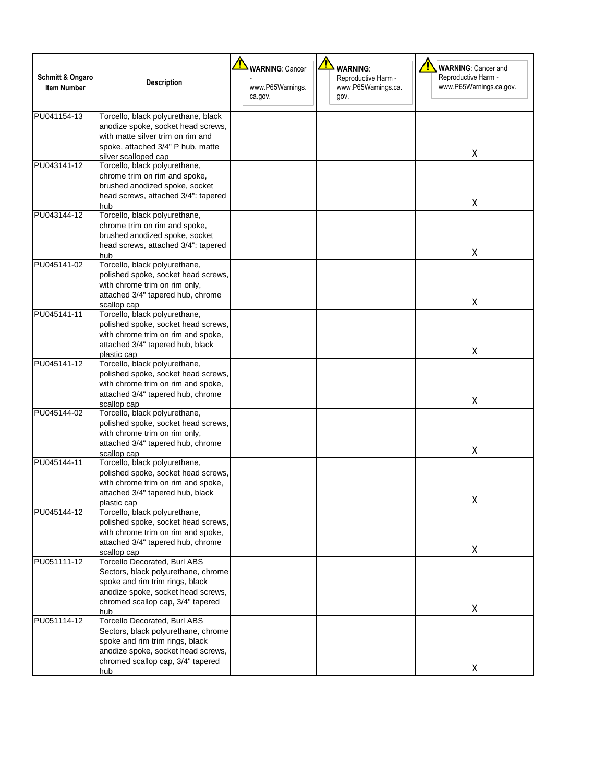| <b>Schmitt &amp; Ongaro</b><br><b>Item Number</b> | <b>Description</b>                                                                                                                                                                              | <b>WARNING: Cancer</b><br>www.P65Warnings.<br>ca.gov. | <b>WARNING:</b><br>Reproductive Harm -<br>www.P65Warnings.ca.<br>gov. | <b>WARNING: Cancer and</b><br>Reproductive Harm -<br>www.P65Warnings.ca.gov. |
|---------------------------------------------------|-------------------------------------------------------------------------------------------------------------------------------------------------------------------------------------------------|-------------------------------------------------------|-----------------------------------------------------------------------|------------------------------------------------------------------------------|
| PU041154-13                                       | Torcello, black polyurethane, black<br>anodize spoke, socket head screws,<br>with matte silver trim on rim and<br>spoke, attached 3/4" P hub, matte<br>silver scalloped cap                     |                                                       |                                                                       | Χ                                                                            |
| PU043141-12                                       | Torcello, black polyurethane,<br>chrome trim on rim and spoke,<br>brushed anodized spoke, socket<br>head screws, attached 3/4": tapered<br>hub                                                  |                                                       |                                                                       | Χ                                                                            |
| PU043144-12                                       | Torcello, black polyurethane,<br>chrome trim on rim and spoke,<br>brushed anodized spoke, socket<br>head screws, attached 3/4": tapered<br>hub                                                  |                                                       |                                                                       | x                                                                            |
| PU045141-02                                       | Torcello, black polyurethane,<br>polished spoke, socket head screws,<br>with chrome trim on rim only,<br>attached 3/4" tapered hub, chrome<br>scallop cap                                       |                                                       |                                                                       | X                                                                            |
| PU045141-11                                       | Torcello, black polyurethane,<br>polished spoke, socket head screws,<br>with chrome trim on rim and spoke,<br>attached 3/4" tapered hub, black<br>plastic cap                                   |                                                       |                                                                       | X                                                                            |
| PU045141-12                                       | Torcello, black polyurethane,<br>polished spoke, socket head screws,<br>with chrome trim on rim and spoke,<br>attached 3/4" tapered hub, chrome<br>scallop cap                                  |                                                       |                                                                       | Χ                                                                            |
| PU045144-02                                       | Torcello, black polyurethane,<br>polished spoke, socket head screws,<br>with chrome trim on rim only,<br>attached 3/4" tapered hub, chrome<br>scallop cap                                       |                                                       |                                                                       | Χ                                                                            |
| PU045144-11                                       | Torcello, black polyurethane,<br>polished spoke, socket head screws,<br>with chrome trim on rim and spoke,<br>attached 3/4" tapered hub, black<br>plastic cap                                   |                                                       |                                                                       | х                                                                            |
| PU045144-12                                       | Torcello, black polyurethane,<br>polished spoke, socket head screws,<br>with chrome trim on rim and spoke,<br>attached 3/4" tapered hub, chrome<br>scallop cap                                  |                                                       |                                                                       | X                                                                            |
| PU051111-12                                       | <b>Torcello Decorated, Burl ABS</b><br>Sectors, black polyurethane, chrome<br>spoke and rim trim rings, black<br>anodize spoke, socket head screws,<br>chromed scallop cap, 3/4" tapered<br>hub |                                                       |                                                                       | X                                                                            |
| PU051114-12                                       | <b>Torcello Decorated, Burl ABS</b><br>Sectors, black polyurethane, chrome<br>spoke and rim trim rings, black<br>anodize spoke, socket head screws,<br>chromed scallop cap, 3/4" tapered<br>hub |                                                       |                                                                       | X                                                                            |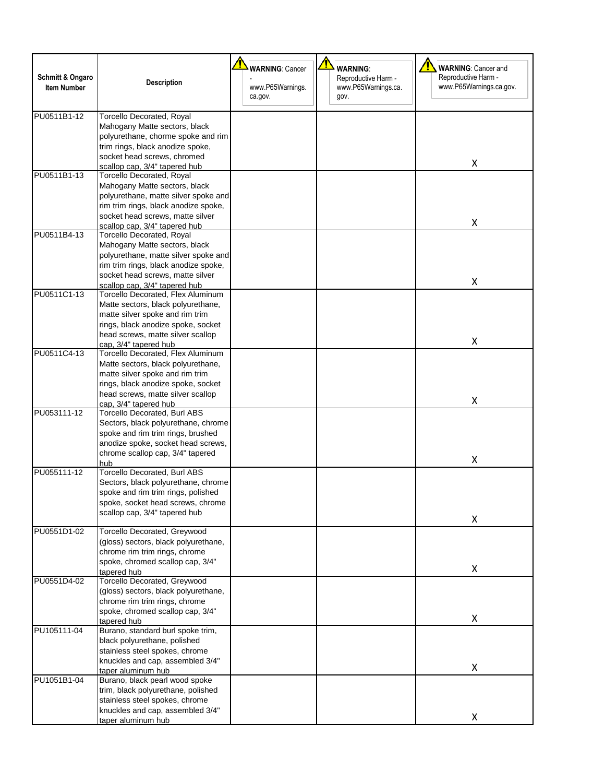| Schmitt & Ongaro<br><b>Item Number</b> | <b>Description</b>                                                                                                                                                                                                                      | <b>WARNING: Cancer</b><br>www.P65Warnings.<br>ca.gov. | <b>WARNING:</b><br>Reproductive Harm -<br>www.P65Warnings.ca.<br>gov. | <b>WARNING: Cancer and</b><br>Reproductive Harm -<br>www.P65Warnings.ca.gov. |
|----------------------------------------|-----------------------------------------------------------------------------------------------------------------------------------------------------------------------------------------------------------------------------------------|-------------------------------------------------------|-----------------------------------------------------------------------|------------------------------------------------------------------------------|
| PU0511B1-12                            | Torcello Decorated, Royal<br>Mahogany Matte sectors, black<br>polyurethane, chorme spoke and rim<br>trim rings, black anodize spoke,<br>socket head screws, chromed<br>scallop cap, 3/4" tapered hub                                    |                                                       |                                                                       | x                                                                            |
| PU0511B1-13                            | <b>Torcello Decorated, Royal</b><br>Mahogany Matte sectors, black<br>polyurethane, matte silver spoke and<br>rim trim rings, black anodize spoke,<br>socket head screws, matte silver<br>scallop cap, 3/4" tapered hub                  |                                                       |                                                                       | X                                                                            |
| PU0511B4-13                            | Torcello Decorated, Royal<br>Mahogany Matte sectors, black<br>polyurethane, matte silver spoke and<br>rim trim rings, black anodize spoke,<br>socket head screws, matte silver<br>scallop cap, 3/4" tapered hub                         |                                                       |                                                                       | X                                                                            |
| PU0511C1-13                            | Torcello Decorated, Flex Aluminum<br>Matte sectors, black polyurethane,<br>matte silver spoke and rim trim<br>rings, black anodize spoke, socket<br>head screws, matte silver scallop                                                   |                                                       |                                                                       | X                                                                            |
| PU0511C4-13                            | cap, 3/4" tapered hub<br>Torcello Decorated, Flex Aluminum<br>Matte sectors, black polyurethane,<br>matte silver spoke and rim trim<br>rings, black anodize spoke, socket<br>head screws, matte silver scallop<br>cap, 3/4" tapered hub |                                                       |                                                                       | X                                                                            |
| PU053111-12                            | <b>Torcello Decorated, Burl ABS</b><br>Sectors, black polyurethane, chrome<br>spoke and rim trim rings, brushed<br>anodize spoke, socket head screws,<br>chrome scallop cap, 3/4" tapered<br>hub                                        |                                                       |                                                                       | X                                                                            |
| PU055111-12                            | <b>Torcello Decorated, Burl ABS</b><br>Sectors, black polyurethane, chrome<br>spoke and rim trim rings, polished<br>spoke, socket head screws, chrome<br>scallop cap, 3/4" tapered hub                                                  |                                                       |                                                                       | x                                                                            |
| PU0551D1-02                            | Torcello Decorated, Greywood<br>(gloss) sectors, black polyurethane,<br>chrome rim trim rings, chrome<br>spoke, chromed scallop cap, 3/4"<br>tapered hub                                                                                |                                                       |                                                                       | X                                                                            |
| PU0551D4-02                            | Torcello Decorated, Greywood<br>(gloss) sectors, black polyurethane,<br>chrome rim trim rings, chrome<br>spoke, chromed scallop cap, 3/4"<br>tapered hub                                                                                |                                                       |                                                                       | X                                                                            |
| PU105111-04                            | Burano, standard burl spoke trim,<br>black polyurethane, polished<br>stainless steel spokes, chrome<br>knuckles and cap, assembled 3/4"<br>taper aluminum hub                                                                           |                                                       |                                                                       | X                                                                            |
| PU1051B1-04                            | Burano, black pearl wood spoke<br>trim, black polyurethane, polished<br>stainless steel spokes, chrome<br>knuckles and cap, assembled 3/4"<br>taper aluminum hub                                                                        |                                                       |                                                                       | X                                                                            |